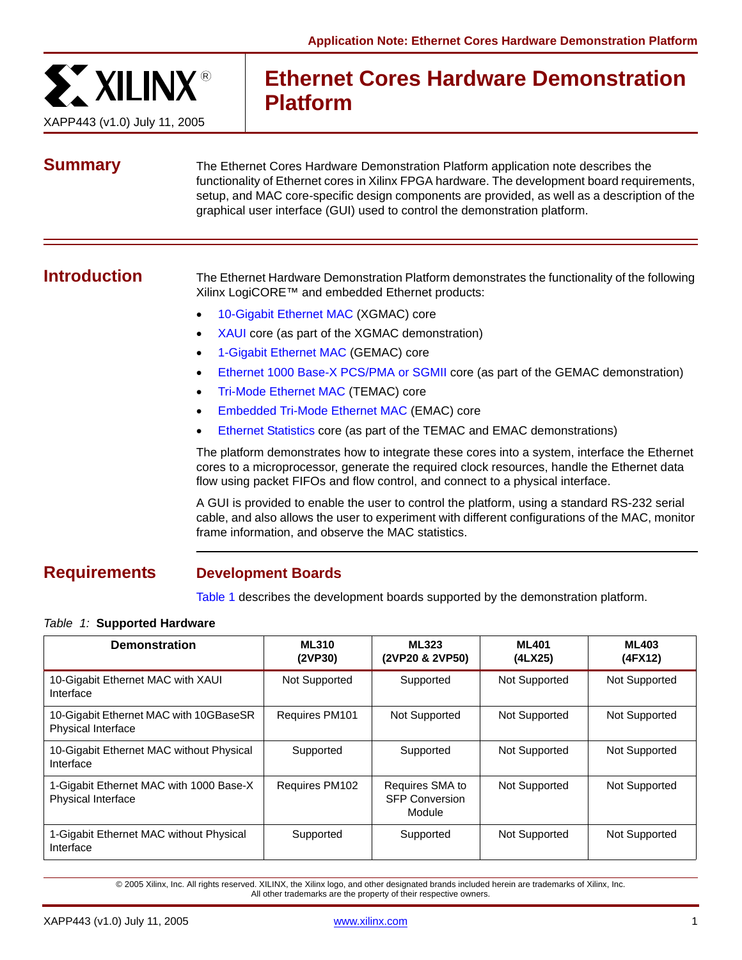

# **Ethernet Cores Hardware Demonstration Platform**

**Summary** The Ethernet Cores Hardware Demonstration Platform application note describes the functionality of Ethernet cores in Xilinx FPGA hardware. The development board requirements, setup, and MAC core-specific design components are provided, as well as a description of the graphical user interface (GUI) used to control the demonstration platform.

**Introduction** The Ethernet Hardware Demonstration Platform demonstrates the functionality of the following Xilinx LogiCORE™ and embedded Ethernet products:

- [10-Gigabit Ethernet MAC](#page-2-0) (XGMAC) core
- [XAUI](#page-3-0) core (as part of the XGMAC demonstration)
- [1-Gigabit Ethernet MAC](#page-4-0) (GEMAC) core
- [Ethernet 1000 Base-X PCS/PMA or SGMII](#page-4-1) core (as part of the GEMAC demonstration)
- [Tri-Mode Ethernet MAC](#page-5-0) (TEMAC) core
- [Embedded Tri-Mode Ethernet MAC](#page-8-0) (EMAC) core
- [Ethernet Statistics](#page-6-0) core (as part of the TEMAC and EMAC demonstrations)

The platform demonstrates how to integrate these cores into a system, interface the Ethernet cores to a microprocessor, generate the required clock resources, handle the Ethernet data flow using packet FIFOs and flow control, and connect to a physical interface.

A GUI is provided to enable the user to control the platform, using a standard RS-232 serial cable, and also allows the user to experiment with different configurations of the MAC, monitor frame information, and observe the MAC statistics.

# **Requirements Development Boards**

[Table 1](#page-0-0) describes the development boards supported by the demonstration platform.

### <span id="page-0-0"></span>*Table 1:* **Supported Hardware**

| <b>Demonstration</b>                                                | <b>ML310</b><br>(2VP30) | <b>ML323</b><br>(2VP20 & 2VP50)                    | <b>ML401</b><br>(4LX25) | <b>ML403</b><br>(4FX12) |
|---------------------------------------------------------------------|-------------------------|----------------------------------------------------|-------------------------|-------------------------|
| 10-Gigabit Ethernet MAC with XAUI<br>Interface                      | Not Supported           | Supported                                          | Not Supported           | Not Supported           |
| 10-Gigabit Ethernet MAC with 10GBaseSR<br><b>Physical Interface</b> | Requires PM101          | Not Supported                                      | <b>Not Supported</b>    | Not Supported           |
| 10-Gigabit Ethernet MAC without Physical<br>Interface               | Supported               | Supported                                          | Not Supported           | Not Supported           |
| 1-Gigabit Ethernet MAC with 1000 Base-X<br>Physical Interface       | <b>Requires PM102</b>   | Requires SMA to<br><b>SFP Conversion</b><br>Module | Not Supported           | Not Supported           |
| 1-Gigabit Ethernet MAC without Physical<br>Interface                | Supported               | Supported                                          | Not Supported           | Not Supported           |

© 2005 Xilinx, Inc. All rights reserved. XILINX, the Xilinx logo, and other designated brands included herein are trademarks of Xilinx, Inc. All other trademarks are the property of their respective owners.

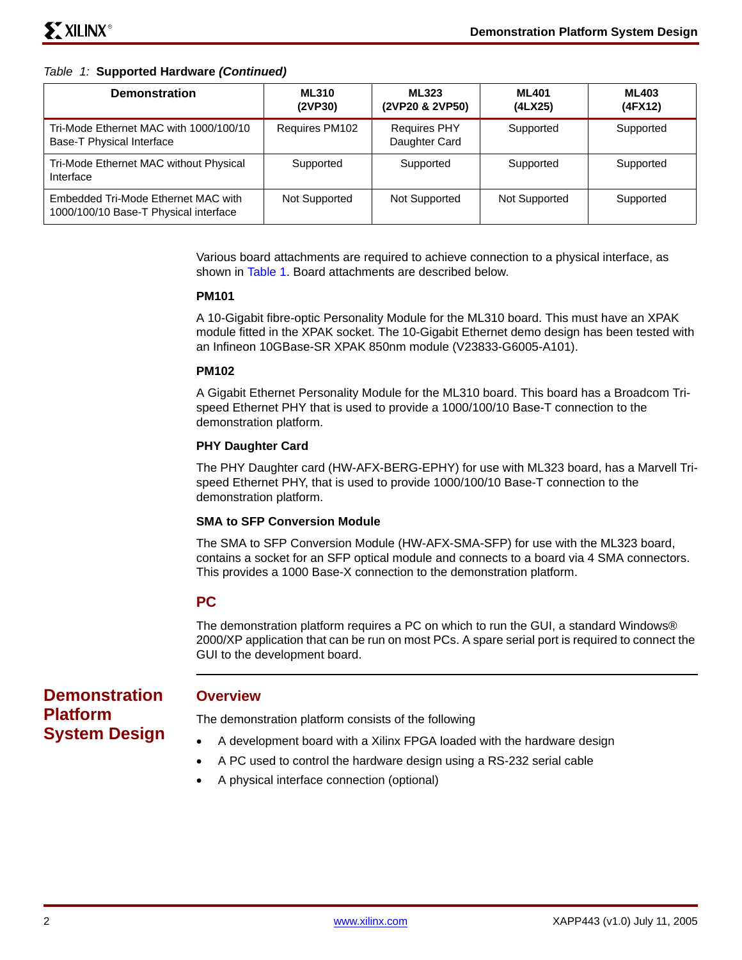### *Table 1:* **Supported Hardware** *(Continued)*

| <b>Demonstration</b>                                                         | <b>ML310</b><br>(2VP30) | <b>ML323</b><br>(2VP20 & 2VP50)      | <b>ML401</b><br>(4LX25) | <b>ML403</b><br>(4FX12) |
|------------------------------------------------------------------------------|-------------------------|--------------------------------------|-------------------------|-------------------------|
| Tri-Mode Ethernet MAC with 1000/100/10<br>Base-T Physical Interface          | Requires PM102          | <b>Requires PHY</b><br>Daughter Card | Supported               | Supported               |
| Tri-Mode Ethernet MAC without Physical<br>Interface                          | Supported               | Supported                            | Supported               | Supported               |
| Embedded Tri-Mode Ethernet MAC with<br>1000/100/10 Base-T Physical interface | Not Supported           | Not Supported                        | Not Supported           | Supported               |

Various board attachments are required to achieve connection to a physical interface, as shown in [Table 1](#page-0-0). Board attachments are described below.

### **PM101**

A 10-Gigabit fibre-optic Personality Module for the ML310 board. This must have an XPAK module fitted in the XPAK socket. The 10-Gigabit Ethernet demo design has been tested with an Infineon 10GBase-SR XPAK 850nm module (V23833-G6005-A101).

### **PM102**

A Gigabit Ethernet Personality Module for the ML310 board. This board has a Broadcom Trispeed Ethernet PHY that is used to provide a 1000/100/10 Base-T connection to the demonstration platform.

### **PHY Daughter Card**

The PHY Daughter card (HW-AFX-BERG-EPHY) for use with ML323 board, has a Marvell Trispeed Ethernet PHY, that is used to provide 1000/100/10 Base-T connection to the demonstration platform.

#### **SMA to SFP Conversion Module**

The SMA to SFP Conversion Module (HW-AFX-SMA-SFP) for use with the ML323 board, contains a socket for an SFP optical module and connects to a board via 4 SMA connectors. This provides a 1000 Base-X connection to the demonstration platform.

### **PC**

The demonstration platform requires a PC on which to run the GUI, a standard Windows® 2000/XP application that can be run on most PCs. A spare serial port is required to connect the GUI to the development board.

**Demonstration Platform System Design**

### **Overview**

The demonstration platform consists of the following

- A development board with a Xilinx FPGA loaded with the hardware design
- A PC used to control the hardware design using a RS-232 serial cable
- A physical interface connection (optional)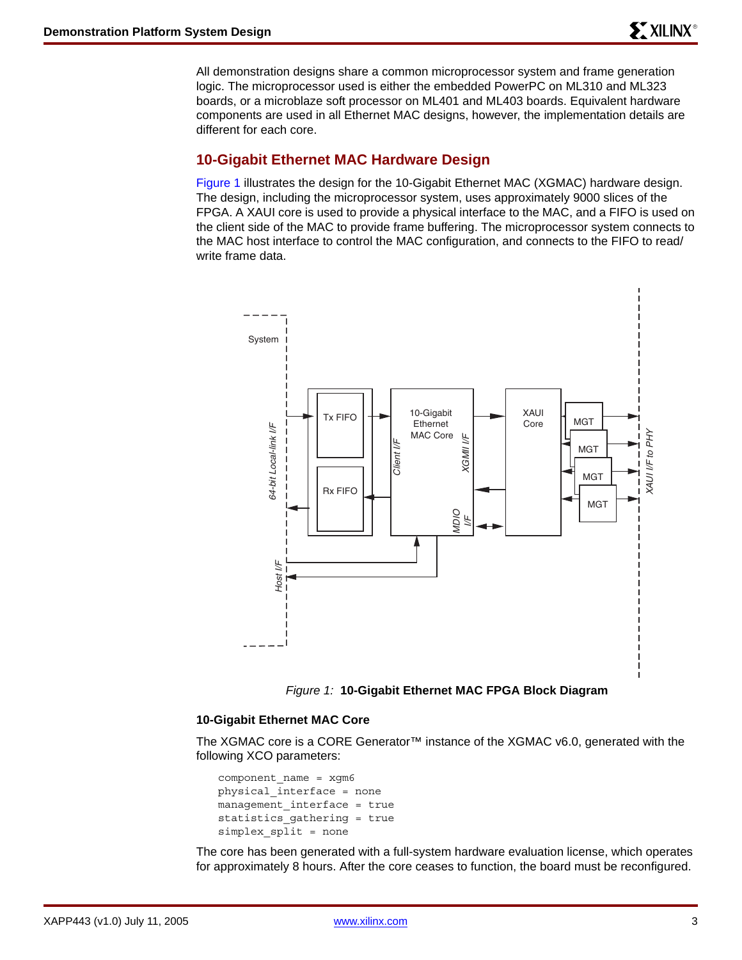All demonstration designs share a common microprocessor system and frame generation logic. The microprocessor used is either the embedded PowerPC on ML310 and ML323 boards, or a microblaze soft processor on ML401 and ML403 boards. Equivalent hardware components are used in all Ethernet MAC designs, however, the implementation details are different for each core.

### <span id="page-2-0"></span>**10-Gigabit Ethernet MAC Hardware Design**

Figure 1 illustrates the design for the 10-Gigabit Ethernet MAC (XGMAC) hardware design. The design, including the microprocessor system, uses approximately 9000 slices of the FPGA. A XAUI core is used to provide a physical interface to the MAC, and a FIFO is used on the client side of the MAC to provide frame buffering. The microprocessor system connects to the MAC host interface to control the MAC configuration, and connects to the FIFO to read/ write frame data.





### **10-Gigabit Ethernet MAC Core**

The XGMAC core is a CORE Generator™ instance of the XGMAC v6.0, generated with the following XCO parameters:

```
component_name = xgm6
physical_interface = none
management_interface = true
statistics_gathering = true
simplex_split = none
```
The core has been generated with a full-system hardware evaluation license, which operates for approximately 8 hours. After the core ceases to function, the board must be reconfigured.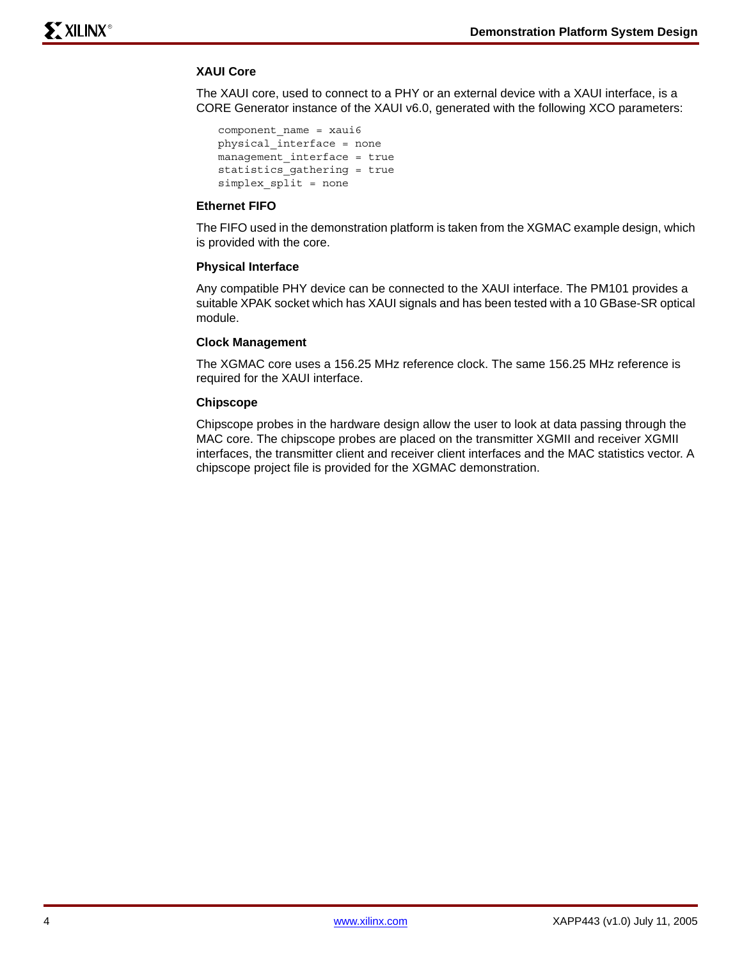### <span id="page-3-0"></span>**XAUI Core**

The XAUI core, used to connect to a PHY or an external device with a XAUI interface, is a CORE Generator instance of the XAUI v6.0, generated with the following XCO parameters:

```
component_name = xaui6
physical_interface = none
management interface = true
statistics_gathering = true
simplex_split = none
```
### **Ethernet FIFO**

The FIFO used in the demonstration platform is taken from the XGMAC example design, which is provided with the core.

### **Physical Interface**

Any compatible PHY device can be connected to the XAUI interface. The PM101 provides a suitable XPAK socket which has XAUI signals and has been tested with a 10 GBase-SR optical module.

#### **Clock Management**

The XGMAC core uses a 156.25 MHz reference clock. The same 156.25 MHz reference is required for the XAUI interface.

### **Chipscope**

Chipscope probes in the hardware design allow the user to look at data passing through the MAC core. The chipscope probes are placed on the transmitter XGMII and receiver XGMII interfaces, the transmitter client and receiver client interfaces and the MAC statistics vector. A chipscope project file is provided for the XGMAC demonstration.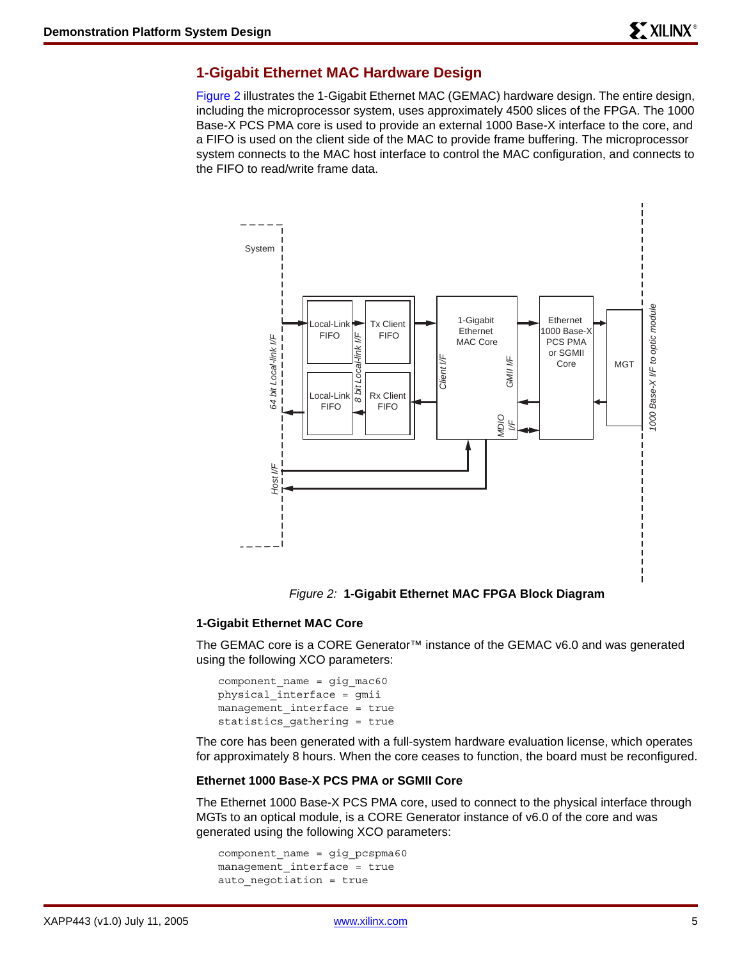### <span id="page-4-0"></span>**1-Gigabit Ethernet MAC Hardware Design**

[Figure 2](#page-4-2) illustrates the 1-Gigabit Ethernet MAC (GEMAC) hardware design. The entire design, including the microprocessor system, uses approximately 4500 slices of the FPGA. The 1000 Base-X PCS PMA core is used to provide an external 1000 Base-X interface to the core, and a FIFO is used on the client side of the MAC to provide frame buffering. The microprocessor system connects to the MAC host interface to control the MAC configuration, and connects to the FIFO to read/write frame data.



*Figure 2:* **1-Gigabit Ethernet MAC FPGA Block Diagram**

### <span id="page-4-2"></span>**1-Gigabit Ethernet MAC Core**

The GEMAC core is a CORE Generator™ instance of the GEMAC v6.0 and was generated using the following XCO parameters:

component name = gig mac60 physical\_interface = gmii management interface = true statistics\_gathering = true

The core has been generated with a full-system hardware evaluation license, which operates for approximately 8 hours. When the core ceases to function, the board must be reconfigured.

#### <span id="page-4-1"></span>**Ethernet 1000 Base-X PCS PMA or SGMII Core**

The Ethernet 1000 Base-X PCS PMA core, used to connect to the physical interface through MGTs to an optical module, is a CORE Generator instance of v6.0 of the core and was generated using the following XCO parameters:

```
component name = gig pcspma60
management_interface = true
auto_negotiation = true
```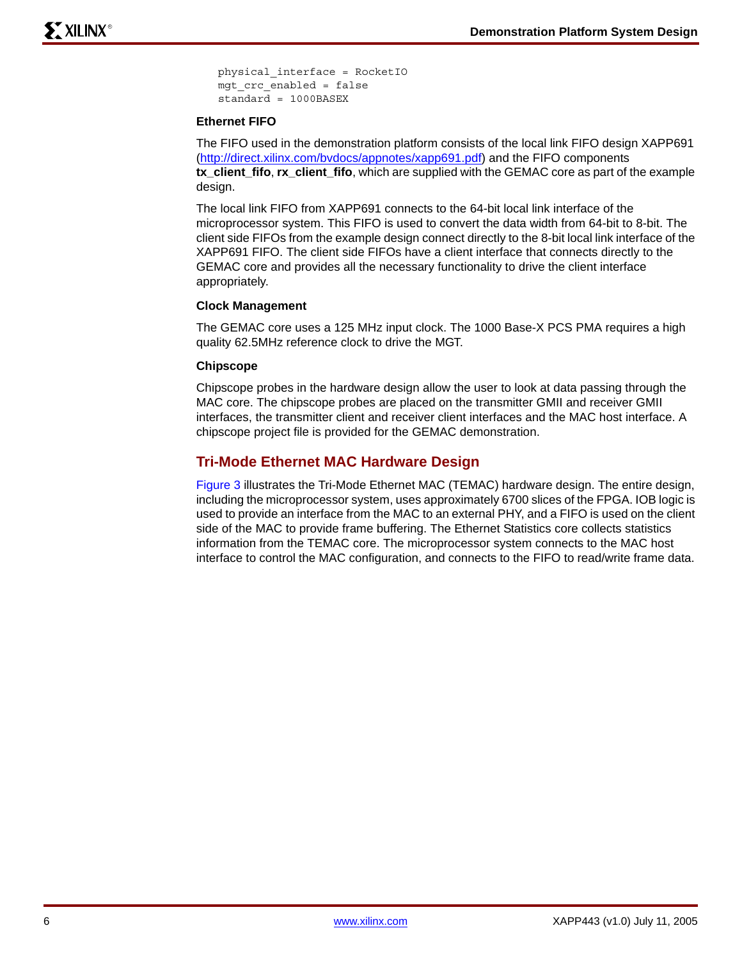physical\_interface = RocketIO mgt\_crc\_enabled = false standard = 1000BASEX

### **Ethernet FIFO**

The FIFO used in the demonstration platform consists of the local link FIFO design XAPP691 [\(http://direct.xilinx.com/bvdocs/appnotes/xapp691.pdf\)](http://direct.xilinx.com/bvdocs/appnotes/xapp691.pdf) and the FIFO components **tx\_client\_fifo**, **rx\_client\_fifo**, which are supplied with the GEMAC core as part of the example design.

The local link FIFO from XAPP691 connects to the 64-bit local link interface of the microprocessor system. This FIFO is used to convert the data width from 64-bit to 8-bit. The client side FIFOs from the example design connect directly to the 8-bit local link interface of the XAPP691 FIFO. The client side FIFOs have a client interface that connects directly to the GEMAC core and provides all the necessary functionality to drive the client interface appropriately.

### **Clock Management**

The GEMAC core uses a 125 MHz input clock. The 1000 Base-X PCS PMA requires a high quality 62.5MHz reference clock to drive the MGT.

### **Chipscope**

Chipscope probes in the hardware design allow the user to look at data passing through the MAC core. The chipscope probes are placed on the transmitter GMII and receiver GMII interfaces, the transmitter client and receiver client interfaces and the MAC host interface. A chipscope project file is provided for the GEMAC demonstration.

### <span id="page-5-0"></span>**Tri-Mode Ethernet MAC Hardware Design**

[Figure 3](#page-6-1) illustrates the Tri-Mode Ethernet MAC (TEMAC) hardware design. The entire design, including the microprocessor system, uses approximately 6700 slices of the FPGA. IOB logic is used to provide an interface from the MAC to an external PHY, and a FIFO is used on the client side of the MAC to provide frame buffering. The Ethernet Statistics core collects statistics information from the TEMAC core. The microprocessor system connects to the MAC host interface to control the MAC configuration, and connects to the FIFO to read/write frame data.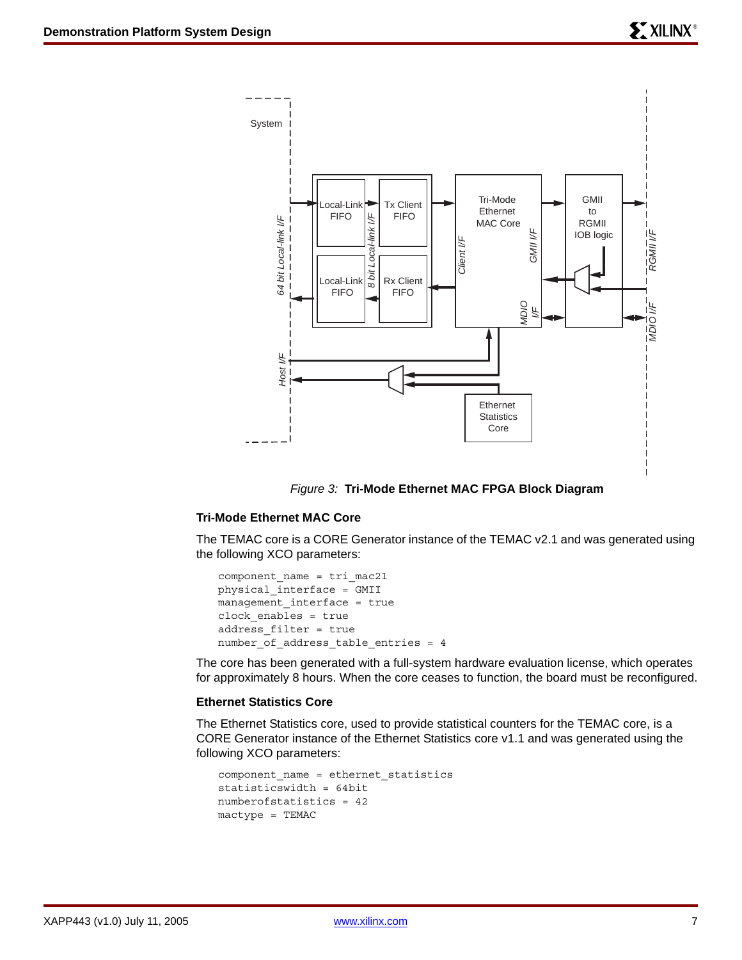



### <span id="page-6-1"></span>**Tri-Mode Ethernet MAC Core**

The TEMAC core is a CORE Generator instance of the TEMAC v2.1 and was generated using the following XCO parameters:

```
component_name = tri_mac21
physical_interface = GMII
management_interface = true
clock_enables = true
address_filter = true
number_of_address_table_entries = 4
```
The core has been generated with a full-system hardware evaluation license, which operates for approximately 8 hours. When the core ceases to function, the board must be reconfigured.

### <span id="page-6-0"></span>**Ethernet Statistics Core**

The Ethernet Statistics core, used to provide statistical counters for the TEMAC core, is a CORE Generator instance of the Ethernet Statistics core v1.1 and was generated using the following XCO parameters:

```
component name = ethernet statistics
statisticswidth = 64bit
numberofstatistics = 42
mactype = TEMAC
```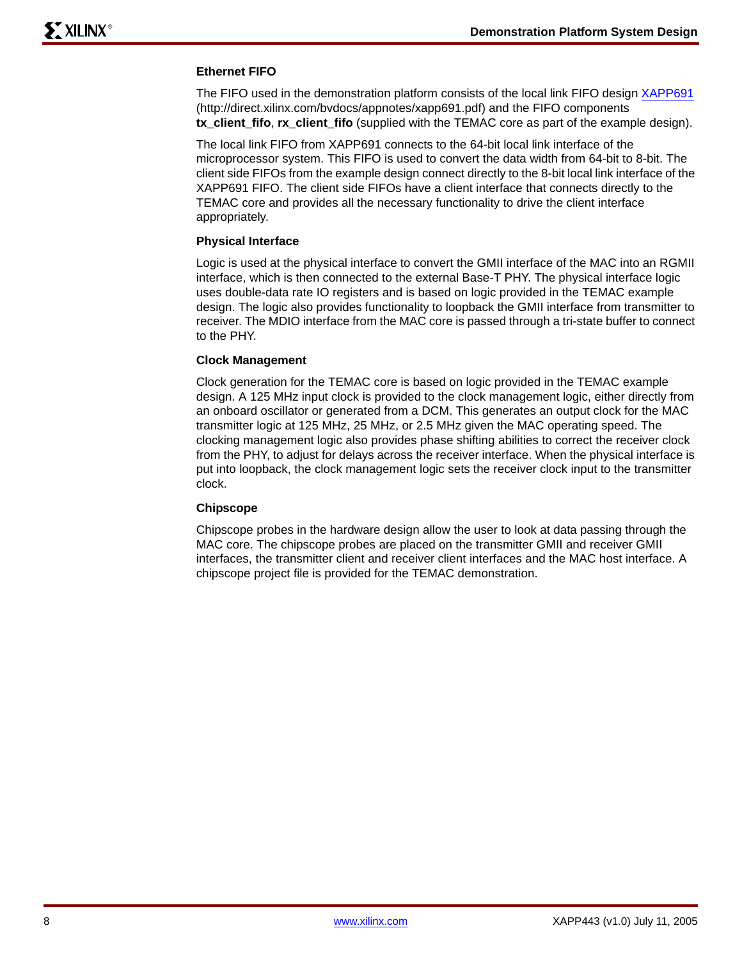### **Ethernet FIFO**

The FIFO used in the demonstration platform consists of the local link FIFO design [XAPP691](http://direct.xilinx.com/bvdocs/appnotes/xapp691.pdf) (http://direct.xilinx.com/bvdocs/appnotes/xapp691.pdf) and the FIFO components **tx\_client\_fifo**, **rx\_client\_fifo** (supplied with the TEMAC core as part of the example design).

The local link FIFO from XAPP691 connects to the 64-bit local link interface of the microprocessor system. This FIFO is used to convert the data width from 64-bit to 8-bit. The client side FIFOs from the example design connect directly to the 8-bit local link interface of the XAPP691 FIFO. The client side FIFOs have a client interface that connects directly to the TEMAC core and provides all the necessary functionality to drive the client interface appropriately.

### **Physical Interface**

Logic is used at the physical interface to convert the GMII interface of the MAC into an RGMII interface, which is then connected to the external Base-T PHY. The physical interface logic uses double-data rate IO registers and is based on logic provided in the TEMAC example design. The logic also provides functionality to loopback the GMII interface from transmitter to receiver. The MDIO interface from the MAC core is passed through a tri-state buffer to connect to the PHY.

### **Clock Management**

Clock generation for the TEMAC core is based on logic provided in the TEMAC example design. A 125 MHz input clock is provided to the clock management logic, either directly from an onboard oscillator or generated from a DCM. This generates an output clock for the MAC transmitter logic at 125 MHz, 25 MHz, or 2.5 MHz given the MAC operating speed. The clocking management logic also provides phase shifting abilities to correct the receiver clock from the PHY, to adjust for delays across the receiver interface. When the physical interface is put into loopback, the clock management logic sets the receiver clock input to the transmitter clock.

### **Chipscope**

Chipscope probes in the hardware design allow the user to look at data passing through the MAC core. The chipscope probes are placed on the transmitter GMII and receiver GMII interfaces, the transmitter client and receiver client interfaces and the MAC host interface. A chipscope project file is provided for the TEMAC demonstration.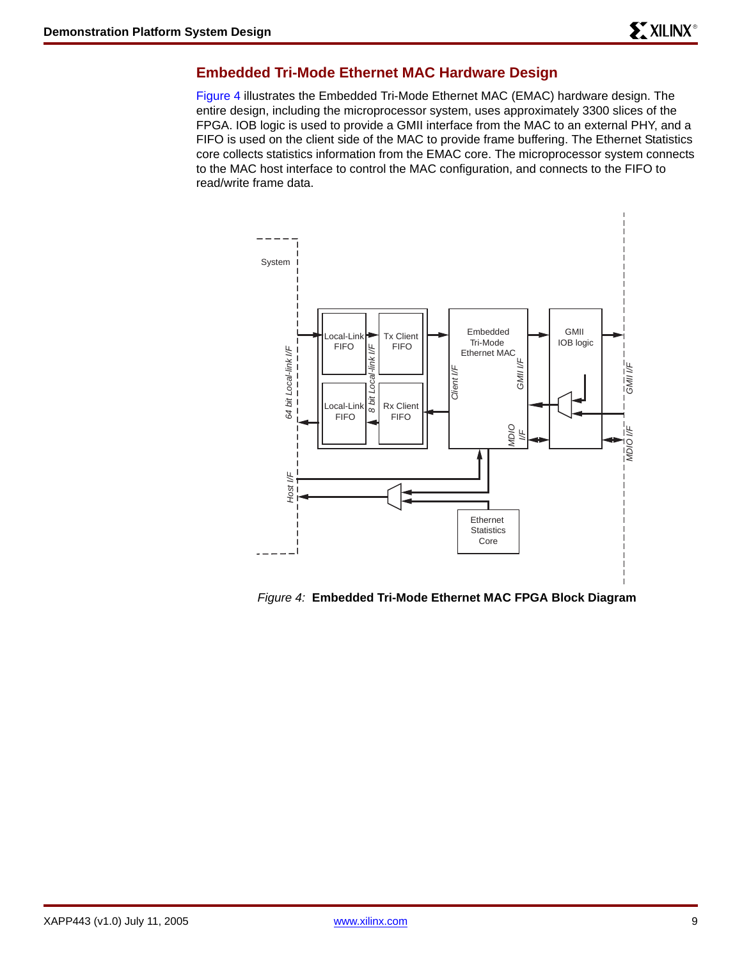### <span id="page-8-0"></span>**Embedded Tri-Mode Ethernet MAC Hardware Design**

Figure 4 illustrates the Embedded Tri-Mode Ethernet MAC (EMAC) hardware design. The entire design, including the microprocessor system, uses approximately 3300 slices of the FPGA. IOB logic is used to provide a GMII interface from the MAC to an external PHY, and a FIFO is used on the client side of the MAC to provide frame buffering. The Ethernet Statistics core collects statistics information from the EMAC core. The microprocessor system connects to the MAC host interface to control the MAC configuration, and connects to the FIFO to read/write frame data.



*Figure 4:* **Embedded Tri-Mode Ethernet MAC FPGA Block Diagram**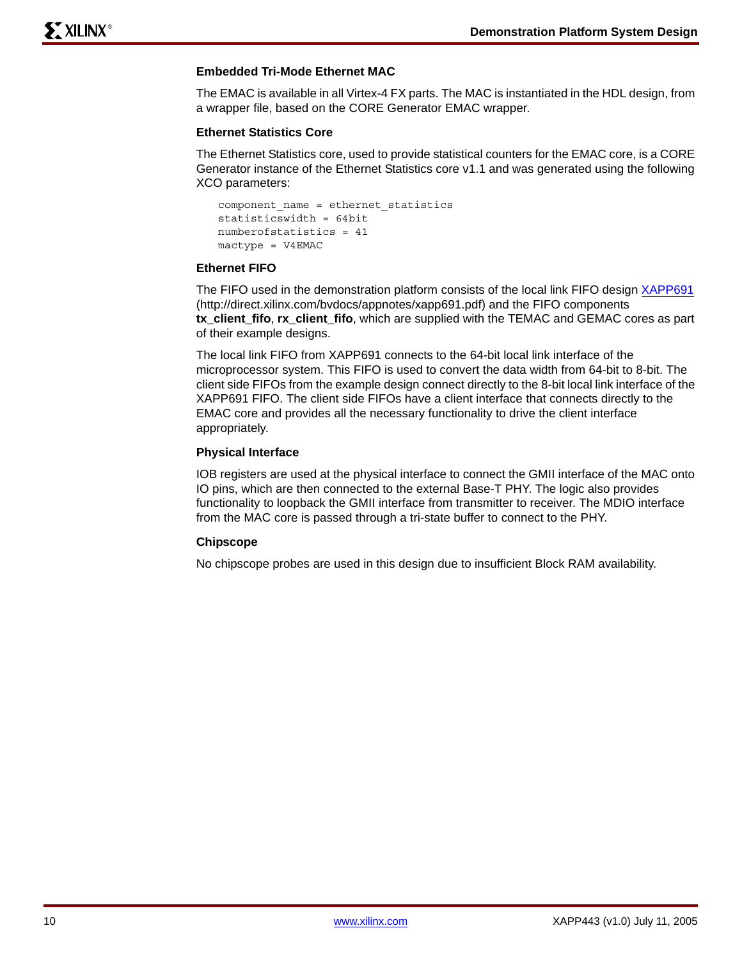### **Embedded Tri-Mode Ethernet MAC**

The EMAC is available in all Virtex-4 FX parts. The MAC is instantiated in the HDL design, from a wrapper file, based on the CORE Generator EMAC wrapper.

### **Ethernet Statistics Core**

The Ethernet Statistics core, used to provide statistical counters for the EMAC core, is a CORE Generator instance of the Ethernet Statistics core v1.1 and was generated using the following XCO parameters:

```
component name = ethernet_statistics
statisticswidth = 64bit
numberofstatistics = 41
mactype = V4EMAC
```
### **Ethernet FIFO**

The FIFO used in the demonstration platform consists of the local link FIFO design [XAPP691](http://direct.xilinx.com/bvdocs/appnotes/xapp691.pdf) (http://direct.xilinx.com/bvdocs/appnotes/xapp691.pdf) and the FIFO components **tx\_client\_fifo**, **rx\_client\_fifo**, which are supplied with the TEMAC and GEMAC cores as part of their example designs.

The local link FIFO from XAPP691 connects to the 64-bit local link interface of the microprocessor system. This FIFO is used to convert the data width from 64-bit to 8-bit. The client side FIFOs from the example design connect directly to the 8-bit local link interface of the XAPP691 FIFO. The client side FIFOs have a client interface that connects directly to the EMAC core and provides all the necessary functionality to drive the client interface appropriately.

### **Physical Interface**

IOB registers are used at the physical interface to connect the GMII interface of the MAC onto IO pins, which are then connected to the external Base-T PHY. The logic also provides functionality to loopback the GMII interface from transmitter to receiver. The MDIO interface from the MAC core is passed through a tri-state buffer to connect to the PHY.

### **Chipscope**

No chipscope probes are used in this design due to insufficient Block RAM availability.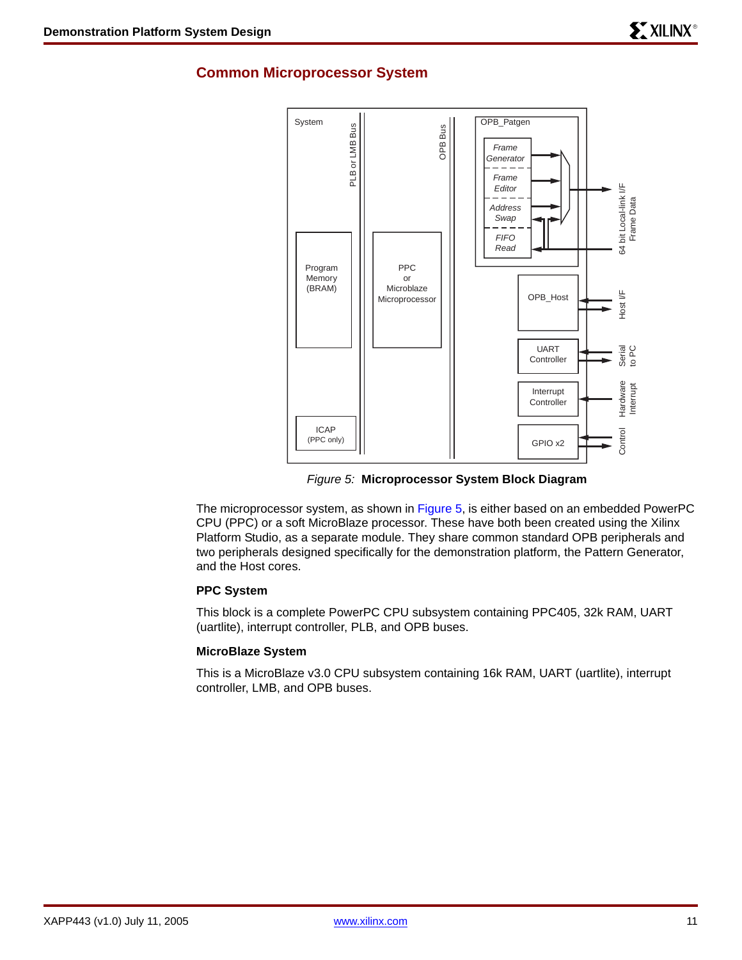### **Common Microprocessor System**



*Figure 5:* **Microprocessor System Block Diagram**

The microprocessor system, as shown in Figure 5, is either based on an embedded PowerPC CPU (PPC) or a soft MicroBlaze processor. These have both been created using the Xilinx Platform Studio, as a separate module. They share common standard OPB peripherals and two peripherals designed specifically for the demonstration platform, the Pattern Generator, and the Host cores.

### **PPC System**

This block is a complete PowerPC CPU subsystem containing PPC405, 32k RAM, UART (uartlite), interrupt controller, PLB, and OPB buses.

### **MicroBlaze System**

This is a MicroBlaze v3.0 CPU subsystem containing 16k RAM, UART (uartlite), interrupt controller, LMB, and OPB buses.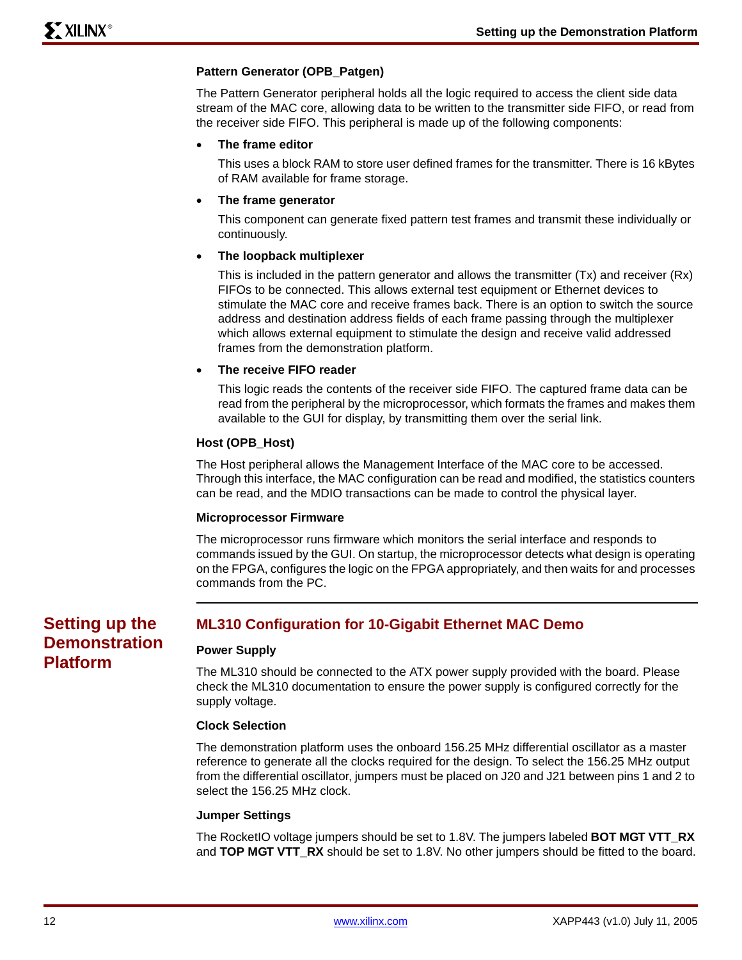### **Pattern Generator (OPB\_Patgen)**

The Pattern Generator peripheral holds all the logic required to access the client side data stream of the MAC core, allowing data to be written to the transmitter side FIFO, or read from the receiver side FIFO. This peripheral is made up of the following components:

### • **The frame editor**

This uses a block RAM to store user defined frames for the transmitter. There is 16 kBytes of RAM available for frame storage.

### • **The frame generator**

This component can generate fixed pattern test frames and transmit these individually or continuously.

### • **The loopback multiplexer**

This is included in the pattern generator and allows the transmitter (Tx) and receiver (Rx) FIFOs to be connected. This allows external test equipment or Ethernet devices to stimulate the MAC core and receive frames back. There is an option to switch the source address and destination address fields of each frame passing through the multiplexer which allows external equipment to stimulate the design and receive valid addressed frames from the demonstration platform.

### • **The receive FIFO reader**

This logic reads the contents of the receiver side FIFO. The captured frame data can be read from the peripheral by the microprocessor, which formats the frames and makes them available to the GUI for display, by transmitting them over the serial link.

### **Host (OPB\_Host)**

The Host peripheral allows the Management Interface of the MAC core to be accessed. Through this interface, the MAC configuration can be read and modified, the statistics counters can be read, and the MDIO transactions can be made to control the physical layer.

#### **Microprocessor Firmware**

The microprocessor runs firmware which monitors the serial interface and responds to commands issued by the GUI. On startup, the microprocessor detects what design is operating on the FPGA, configures the logic on the FPGA appropriately, and then waits for and processes commands from the PC.

# **Setting up the Demonstration Platform**

### **ML310 Configuration for 10-Gigabit Ethernet MAC Demo**

### **Power Supply**

The ML310 should be connected to the ATX power supply provided with the board. Please check the ML310 documentation to ensure the power supply is configured correctly for the supply voltage.

#### **Clock Selection**

The demonstration platform uses the onboard 156.25 MHz differential oscillator as a master reference to generate all the clocks required for the design. To select the 156.25 MHz output from the differential oscillator, jumpers must be placed on J20 and J21 between pins 1 and 2 to select the 156.25 MHz clock.

#### **Jumper Settings**

The RocketIO voltage jumpers should be set to 1.8V. The jumpers labeled **BOT MGT VTT\_RX** and **TOP MGT VTT\_RX** should be set to 1.8V. No other jumpers should be fitted to the board.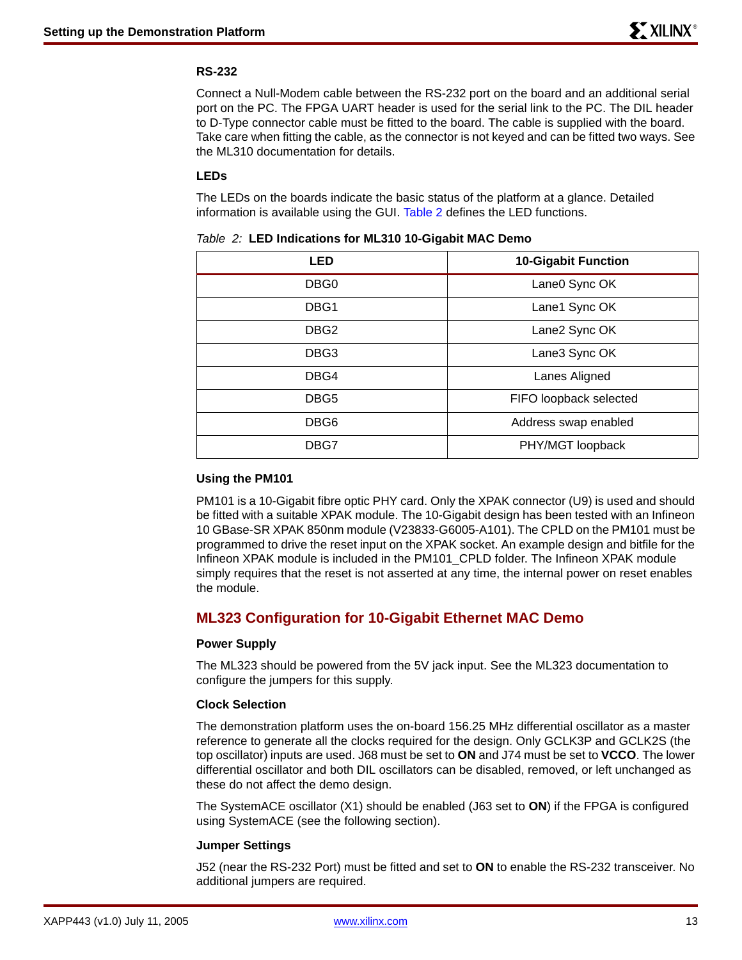### **RS-232**

Connect a Null-Modem cable between the RS-232 port on the board and an additional serial port on the PC. The FPGA UART header is used for the serial link to the PC. The DIL header to D-Type connector cable must be fitted to the board. The cable is supplied with the board. Take care when fitting the cable, as the connector is not keyed and can be fitted two ways. See the ML310 documentation for details.

### **LEDs**

The LEDs on the boards indicate the basic status of the platform at a glance. Detailed information is available using the GUI. Table 2 defines the LED functions.

| . <u>.</u>       |                            |  |  |  |
|------------------|----------------------------|--|--|--|
| <b>LED</b>       | <b>10-Gigabit Function</b> |  |  |  |
| DBG <sub>0</sub> | Lane0 Sync OK              |  |  |  |
| DBG1             | Lane1 Sync OK              |  |  |  |
| DBG <sub>2</sub> | Lane2 Sync OK              |  |  |  |
| DBG3             | Lane3 Sync OK              |  |  |  |
| DBG4             | Lanes Aligned              |  |  |  |
| DBG5             | FIFO loopback selected     |  |  |  |
| DBG6             | Address swap enabled       |  |  |  |
| DBG7             | PHY/MGT loopback           |  |  |  |

|  |  |  |  |  |  |  |  | Table 2: LED Indications for ML310 10-Gigabit MAC Demo |
|--|--|--|--|--|--|--|--|--------------------------------------------------------|
|--|--|--|--|--|--|--|--|--------------------------------------------------------|

### **Using the PM101**

PM101 is a 10-Gigabit fibre optic PHY card. Only the XPAK connector (U9) is used and should be fitted with a suitable XPAK module. The 10-Gigabit design has been tested with an Infineon 10 GBase-SR XPAK 850nm module (V23833-G6005-A101). The CPLD on the PM101 must be programmed to drive the reset input on the XPAK socket. An example design and bitfile for the Infineon XPAK module is included in the PM101\_CPLD folder. The Infineon XPAK module simply requires that the reset is not asserted at any time, the internal power on reset enables the module.

### **ML323 Configuration for 10-Gigabit Ethernet MAC Demo**

### **Power Supply**

The ML323 should be powered from the 5V jack input. See the ML323 documentation to configure the jumpers for this supply.

### **Clock Selection**

The demonstration platform uses the on-board 156.25 MHz differential oscillator as a master reference to generate all the clocks required for the design. Only GCLK3P and GCLK2S (the top oscillator) inputs are used. J68 must be set to **ON** and J74 must be set to **VCCO**. The lower differential oscillator and both DIL oscillators can be disabled, removed, or left unchanged as these do not affect the demo design.

The SystemACE oscillator (X1) should be enabled (J63 set to **ON**) if the FPGA is configured using SystemACE (see the following section).

### **Jumper Settings**

J52 (near the RS-232 Port) must be fitted and set to **ON** to enable the RS-232 transceiver. No additional jumpers are required.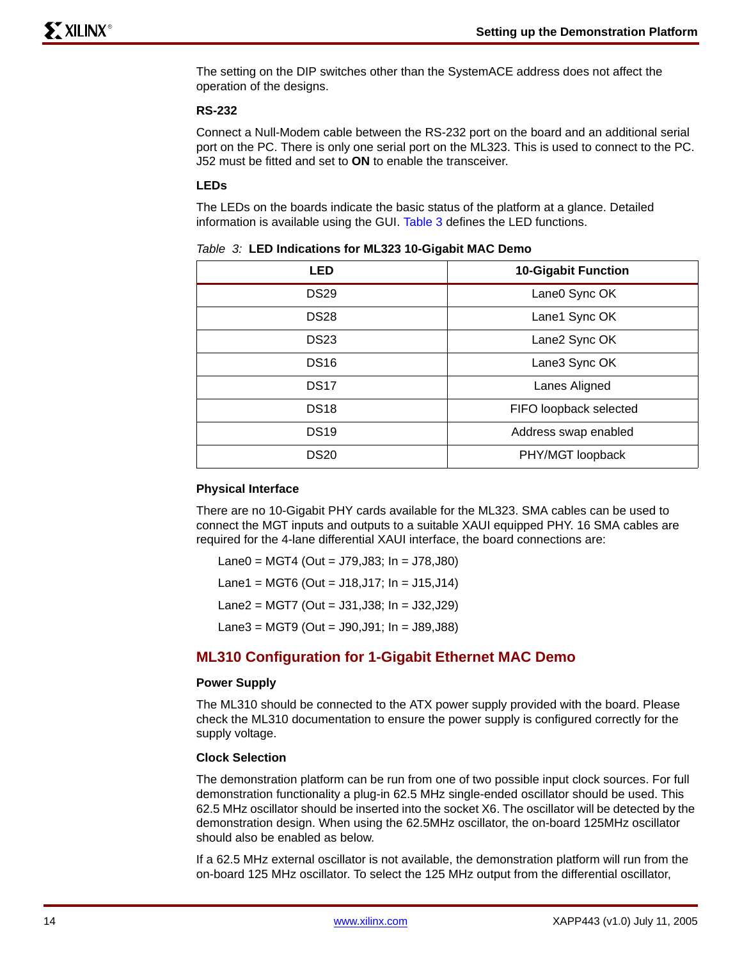The setting on the DIP switches other than the SystemACE address does not affect the operation of the designs.

### **RS-232**

Connect a Null-Modem cable between the RS-232 port on the board and an additional serial port on the PC. There is only one serial port on the ML323. This is used to connect to the PC. J52 must be fitted and set to **ON** to enable the transceiver.

### **LEDs**

The LEDs on the boards indicate the basic status of the platform at a glance. Detailed information is available using the GUI. [Table 3](#page-13-0) defines the LED functions.

<span id="page-13-0"></span>

| Table 3: LED Indications for ML323 10-Gigabit MAC Demo |  |
|--------------------------------------------------------|--|
|--------------------------------------------------------|--|

| <b>LED</b>  | <b>10-Gigabit Function</b> |  |
|-------------|----------------------------|--|
| <b>DS29</b> | Lane0 Sync OK              |  |
| <b>DS28</b> | Lane1 Sync OK              |  |
| <b>DS23</b> | Lane2 Sync OK              |  |
| <b>DS16</b> | Lane3 Sync OK              |  |
| <b>DS17</b> | Lanes Aligned              |  |
| <b>DS18</b> | FIFO loopback selected     |  |
| <b>DS19</b> | Address swap enabled       |  |
| <b>DS20</b> | PHY/MGT loopback           |  |

#### **Physical Interface**

There are no 10-Gigabit PHY cards available for the ML323. SMA cables can be used to connect the MGT inputs and outputs to a suitable XAUI equipped PHY. 16 SMA cables are required for the 4-lane differential XAUI interface, the board connections are:

Lane0 = MGT4 (Out = J79,J83; In = J78,J80)

Lane1 = MGT6 (Out =  $J18, J17$ ;  $In = J15, J14$ )

Lane2 = MGT7 (Out = J31,J38; In = J32,J29)

Lane3 = MGT9 (Out = J90,J91; In = J89,J88)

### **ML310 Configuration for 1-Gigabit Ethernet MAC Demo**

#### **Power Supply**

The ML310 should be connected to the ATX power supply provided with the board. Please check the ML310 documentation to ensure the power supply is configured correctly for the supply voltage.

#### **Clock Selection**

The demonstration platform can be run from one of two possible input clock sources. For full demonstration functionality a plug-in 62.5 MHz single-ended oscillator should be used. This 62.5 MHz oscillator should be inserted into the socket X6. The oscillator will be detected by the demonstration design. When using the 62.5MHz oscillator, the on-board 125MHz oscillator should also be enabled as below.

If a 62.5 MHz external oscillator is not available, the demonstration platform will run from the on-board 125 MHz oscillator. To select the 125 MHz output from the differential oscillator,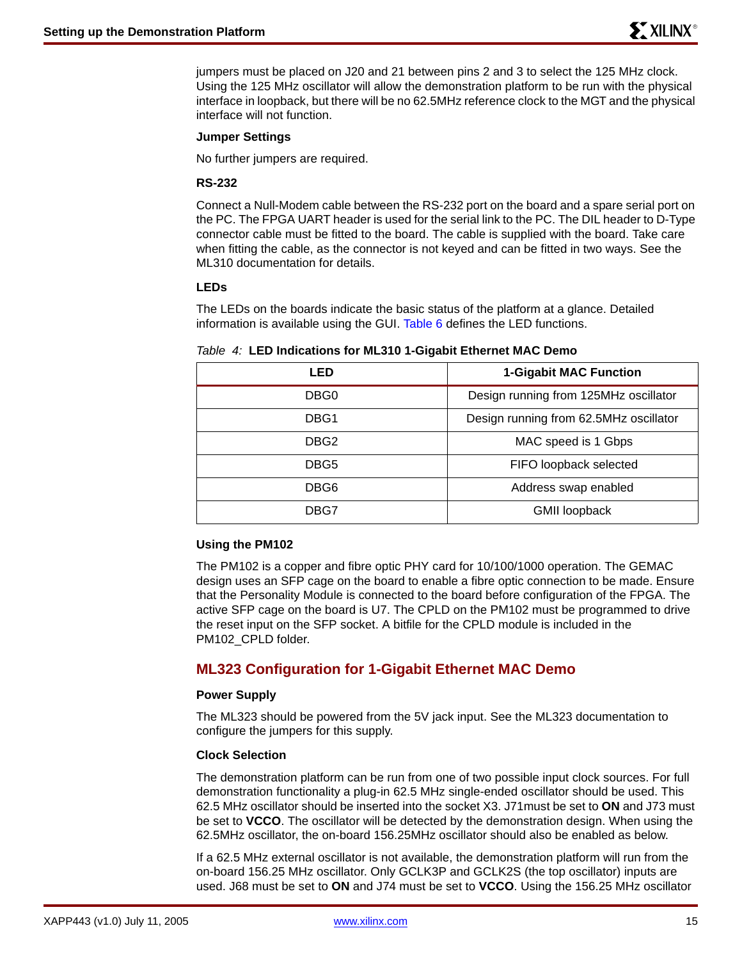jumpers must be placed on J20 and 21 between pins 2 and 3 to select the 125 MHz clock. Using the 125 MHz oscillator will allow the demonstration platform to be run with the physical interface in loopback, but there will be no 62.5MHz reference clock to the MGT and the physical interface will not function.

### **Jumper Settings**

No further jumpers are required.

### **RS-232**

Connect a Null-Modem cable between the RS-232 port on the board and a spare serial port on the PC. The FPGA UART header is used for the serial link to the PC. The DIL header to D-Type connector cable must be fitted to the board. The cable is supplied with the board. Take care when fitting the cable, as the connector is not keyed and can be fitted in two ways. See the ML310 documentation for details.

### **LEDs**

The LEDs on the boards indicate the basic status of the platform at a glance. Detailed information is available using the GUI. Table 6 defines the LED functions.

### *Table 4:* **LED Indications for ML310 1-Gigabit Ethernet MAC Demo**

| LED  | <b>1-Gigabit MAC Function</b>          |  |  |
|------|----------------------------------------|--|--|
| DBG0 | Design running from 125MHz oscillator  |  |  |
| DBG1 | Design running from 62.5MHz oscillator |  |  |
| DBG2 | MAC speed is 1 Gbps                    |  |  |
| DBG5 | FIFO loopback selected                 |  |  |
| DBG6 | Address swap enabled                   |  |  |
| DBG7 | <b>GMII</b> loopback                   |  |  |

### **Using the PM102**

The PM102 is a copper and fibre optic PHY card for 10/100/1000 operation. The GEMAC design uses an SFP cage on the board to enable a fibre optic connection to be made. Ensure that the Personality Module is connected to the board before configuration of the FPGA. The active SFP cage on the board is U7. The CPLD on the PM102 must be programmed to drive the reset input on the SFP socket. A bitfile for the CPLD module is included in the PM102\_CPLD folder.

### **ML323 Configuration for 1-Gigabit Ethernet MAC Demo**

### **Power Supply**

The ML323 should be powered from the 5V jack input. See the ML323 documentation to configure the jumpers for this supply.

### **Clock Selection**

The demonstration platform can be run from one of two possible input clock sources. For full demonstration functionality a plug-in 62.5 MHz single-ended oscillator should be used. This 62.5 MHz oscillator should be inserted into the socket X3. J71must be set to **ON** and J73 must be set to **VCCO**. The oscillator will be detected by the demonstration design. When using the 62.5MHz oscillator, the on-board 156.25MHz oscillator should also be enabled as below.

If a 62.5 MHz external oscillator is not available, the demonstration platform will run from the on-board 156.25 MHz oscillator. Only GCLK3P and GCLK2S (the top oscillator) inputs are used. J68 must be set to **ON** and J74 must be set to **VCCO**. Using the 156.25 MHz oscillator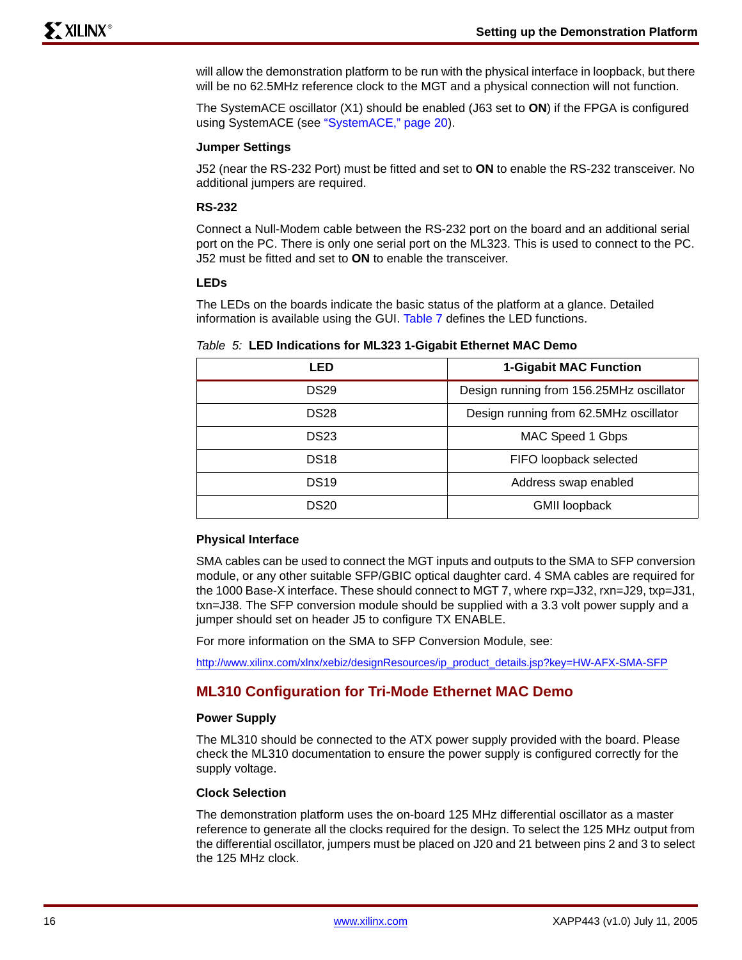will allow the demonstration platform to be run with the physical interface in loopback, but there will be no 62.5MHz reference clock to the MGT and a physical connection will not function.

The SystemACE oscillator (X1) should be enabled (J63 set to **ON**) if the FPGA is configured using SystemACE (see ["SystemACE," page 20\)](#page-19-0).

### **Jumper Settings**

J52 (near the RS-232 Port) must be fitted and set to **ON** to enable the RS-232 transceiver. No additional jumpers are required.

### **RS-232**

Connect a Null-Modem cable between the RS-232 port on the board and an additional serial port on the PC. There is only one serial port on the ML323. This is used to connect to the PC. J52 must be fitted and set to **ON** to enable the transceiver.

### **LEDs**

The LEDs on the boards indicate the basic status of the platform at a glance. Detailed information is available using the GUI. [Table 7](#page-17-0) defines the LED functions.

#### *Table 5:* **LED Indications for ML323 1-Gigabit Ethernet MAC Demo**

| LED              | <b>1-Gigabit MAC Function</b>            |  |  |
|------------------|------------------------------------------|--|--|
| <b>DS29</b>      | Design running from 156.25MHz oscillator |  |  |
| DS <sub>28</sub> | Design running from 62.5MHz oscillator   |  |  |
| DS <sub>23</sub> | MAC Speed 1 Gbps                         |  |  |
| DS <sub>18</sub> | FIFO loopback selected                   |  |  |
| DS <sub>19</sub> | Address swap enabled                     |  |  |
| DS20             | <b>GMII loopback</b>                     |  |  |

### **Physical Interface**

SMA cables can be used to connect the MGT inputs and outputs to the SMA to SFP conversion module, or any other suitable SFP/GBIC optical daughter card. 4 SMA cables are required for the 1000 Base-X interface. These should connect to MGT 7, where rxp=J32, rxn=J29, txp=J31, txn=J38. The SFP conversion module should be supplied with a 3.3 volt power supply and a jumper should set on header J5 to configure TX ENABLE.

For more information on the SMA to SFP Conversion Module, see:

[http://www.xilinx.com/xlnx/xebiz/designResources/ip\\_product\\_details.jsp?key=HW-AFX-SMA-SFP](http://www.xilinx.com/xlnx/xebiz/designResources/ip_product_details.jsp?key=HW-AFX-SMA-SFP)

### **ML310 Configuration for Tri-Mode Ethernet MAC Demo**

#### **Power Supply**

The ML310 should be connected to the ATX power supply provided with the board. Please check the ML310 documentation to ensure the power supply is configured correctly for the supply voltage.

### **Clock Selection**

The demonstration platform uses the on-board 125 MHz differential oscillator as a master reference to generate all the clocks required for the design. To select the 125 MHz output from the differential oscillator, jumpers must be placed on J20 and 21 between pins 2 and 3 to select the 125 MHz clock.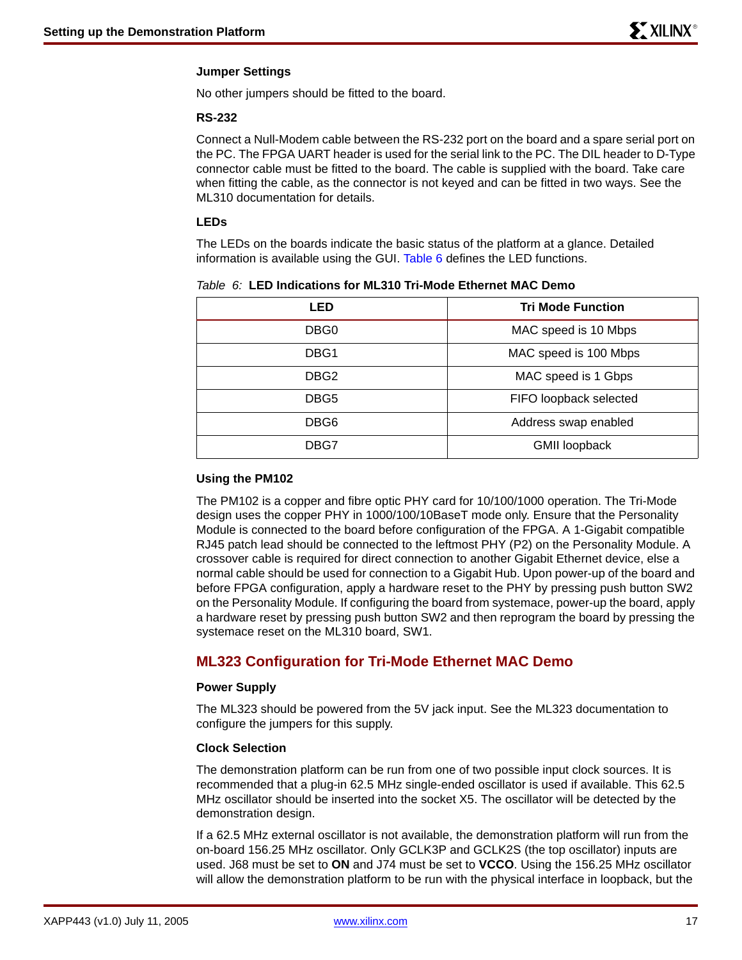### **Jumper Settings**

No other jumpers should be fitted to the board.

### **RS-232**

Connect a Null-Modem cable between the RS-232 port on the board and a spare serial port on the PC. The FPGA UART header is used for the serial link to the PC. The DIL header to D-Type connector cable must be fitted to the board. The cable is supplied with the board. Take care when fitting the cable, as the connector is not keyed and can be fitted in two ways. See the ML310 documentation for details.

### **LEDs**

The LEDs on the boards indicate the basic status of the platform at a glance. Detailed information is available using the GUI. Table 6 defines the LED functions.

| LED              | <b>Tri Mode Function</b> |  |  |
|------------------|--------------------------|--|--|
| DBG0             | MAC speed is 10 Mbps     |  |  |
| DBG1             | MAC speed is 100 Mbps    |  |  |
| DBG <sub>2</sub> | MAC speed is 1 Gbps      |  |  |
| DBG5             | FIFO loopback selected   |  |  |
| DBG6             | Address swap enabled     |  |  |
| DBG7             | <b>GMII loopback</b>     |  |  |

### *Table 6:* **LED Indications for ML310 Tri-Mode Ethernet MAC Demo**

### **Using the PM102**

The PM102 is a copper and fibre optic PHY card for 10/100/1000 operation. The Tri-Mode design uses the copper PHY in 1000/100/10BaseT mode only. Ensure that the Personality Module is connected to the board before configuration of the FPGA. A 1-Gigabit compatible RJ45 patch lead should be connected to the leftmost PHY (P2) on the Personality Module. A crossover cable is required for direct connection to another Gigabit Ethernet device, else a normal cable should be used for connection to a Gigabit Hub. Upon power-up of the board and before FPGA configuration, apply a hardware reset to the PHY by pressing push button SW2 on the Personality Module. If configuring the board from systemace, power-up the board, apply a hardware reset by pressing push button SW2 and then reprogram the board by pressing the systemace reset on the ML310 board, SW1.

### **ML323 Configuration for Tri-Mode Ethernet MAC Demo**

### **Power Supply**

The ML323 should be powered from the 5V jack input. See the ML323 documentation to configure the jumpers for this supply.

### **Clock Selection**

The demonstration platform can be run from one of two possible input clock sources. It is recommended that a plug-in 62.5 MHz single-ended oscillator is used if available. This 62.5 MHz oscillator should be inserted into the socket X5. The oscillator will be detected by the demonstration design.

If a 62.5 MHz external oscillator is not available, the demonstration platform will run from the on-board 156.25 MHz oscillator. Only GCLK3P and GCLK2S (the top oscillator) inputs are used. J68 must be set to **ON** and J74 must be set to **VCCO**. Using the 156.25 MHz oscillator will allow the demonstration platform to be run with the physical interface in loopback, but the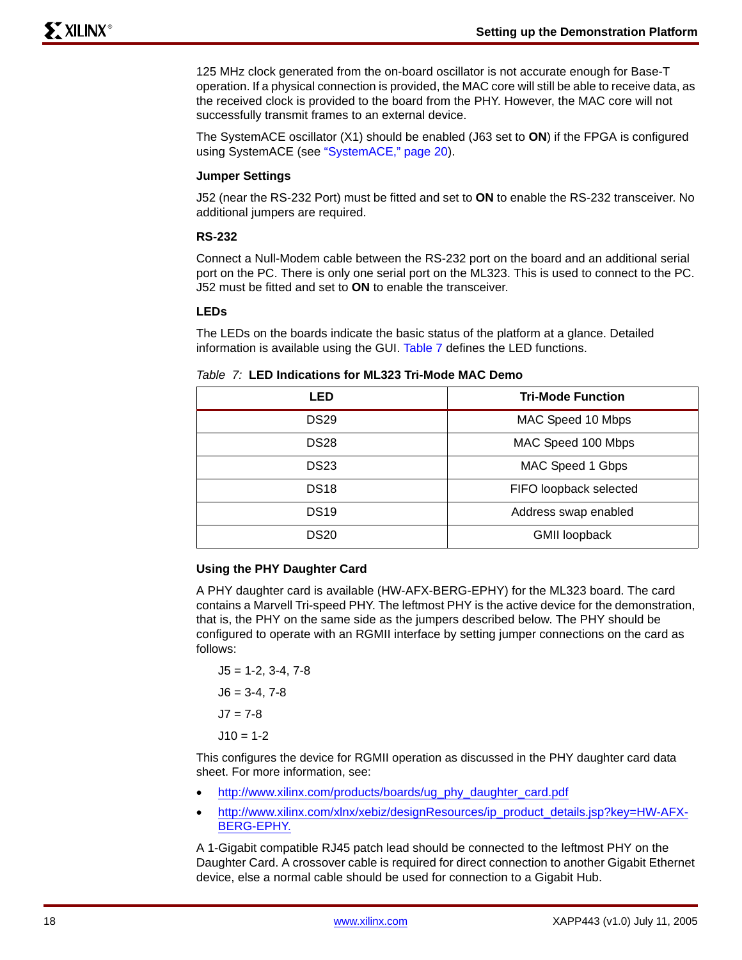125 MHz clock generated from the on-board oscillator is not accurate enough for Base-T operation. If a physical connection is provided, the MAC core will still be able to receive data, as the received clock is provided to the board from the PHY. However, the MAC core will not successfully transmit frames to an external device.

The SystemACE oscillator (X1) should be enabled (J63 set to **ON**) if the FPGA is configured using SystemACE (see ["SystemACE," page 20\)](#page-19-0).

### **Jumper Settings**

J52 (near the RS-232 Port) must be fitted and set to **ON** to enable the RS-232 transceiver. No additional jumpers are required.

### **RS-232**

Connect a Null-Modem cable between the RS-232 port on the board and an additional serial port on the PC. There is only one serial port on the ML323. This is used to connect to the PC. J52 must be fitted and set to **ON** to enable the transceiver.

### **LEDs**

The LEDs on the boards indicate the basic status of the platform at a glance. Detailed information is available using the GUI. [Table 7](#page-17-0) defines the LED functions.

#### <span id="page-17-0"></span>*Table 7:* **LED Indications for ML323 Tri-Mode MAC Demo**

| LED              | <b>Tri-Mode Function</b> |  |  |
|------------------|--------------------------|--|--|
| <b>DS29</b>      | MAC Speed 10 Mbps        |  |  |
| DS <sub>28</sub> | MAC Speed 100 Mbps       |  |  |
| <b>DS23</b>      | MAC Speed 1 Gbps         |  |  |
| DS <sub>18</sub> | FIFO loopback selected   |  |  |
| DS <sub>19</sub> | Address swap enabled     |  |  |
| <b>DS20</b>      | <b>GMII loopback</b>     |  |  |

### **Using the PHY Daughter Card**

A PHY daughter card is available (HW-AFX-BERG-EPHY) for the ML323 board. The card contains a Marvell Tri-speed PHY. The leftmost PHY is the active device for the demonstration, that is, the PHY on the same side as the jumpers described below. The PHY should be configured to operate with an RGMII interface by setting jumper connections on the card as follows:

 $J5 = 1 - 2, 3 - 4, 7 - 8$  $J6 = 3-4, 7-8$  $J7 = 7-8$  $J10 = 1-2$ 

This configures the device for RGMII operation as discussed in the PHY daughter card data sheet. For more information, see:

- [http://www.xilinx.com/products/boards/ug\\_phy\\_daughter\\_card.pdf](http://www.xilinx.com/products/boards/ug_phy_daughter_card.pdf)
- [http://www.xilinx.com/xlnx/xebiz/designResources/ip\\_product\\_details.jsp?key=HW-AFX-](http://www.xilinx.com/xlnx/xebiz/designResources/ip_product_details.jsp?key=HW-AFX-BERG-EPHY)BERG-EPHY.

A 1-Gigabit compatible RJ45 patch lead should be connected to the leftmost PHY on the Daughter Card. A crossover cable is required for direct connection to another Gigabit Ethernet device, else a normal cable should be used for connection to a Gigabit Hub.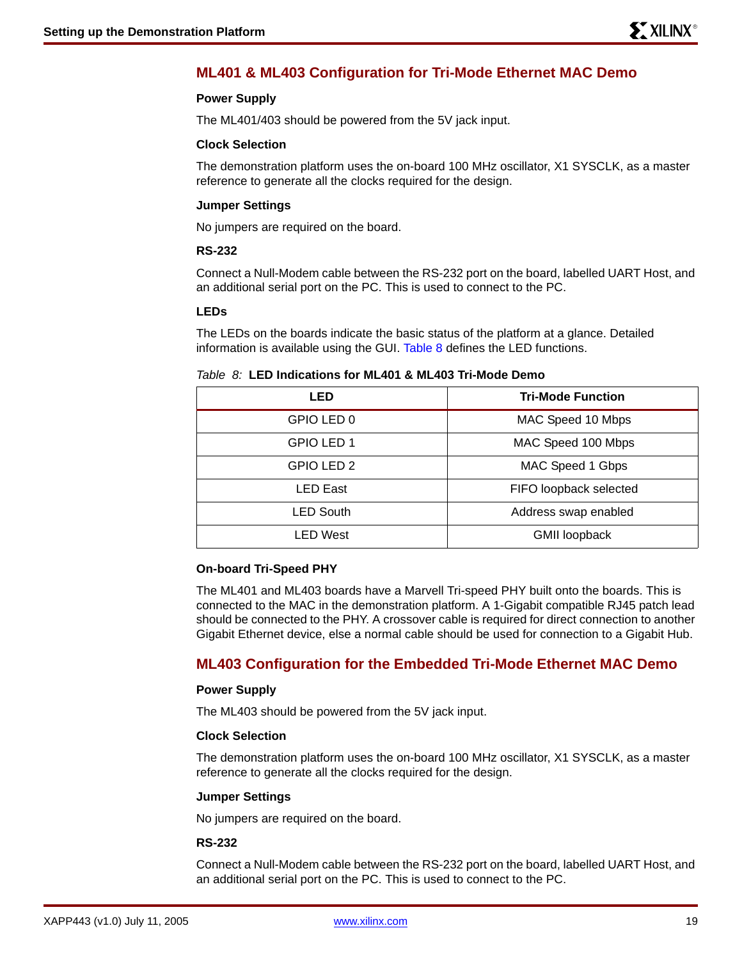## **ML401 & ML403 Configuration for Tri-Mode Ethernet MAC Demo**

### **Power Supply**

The ML401/403 should be powered from the 5V jack input.

#### **Clock Selection**

The demonstration platform uses the on-board 100 MHz oscillator, X1 SYSCLK, as a master reference to generate all the clocks required for the design.

### **Jumper Settings**

No jumpers are required on the board.

### **RS-232**

Connect a Null-Modem cable between the RS-232 port on the board, labelled UART Host, and an additional serial port on the PC. This is used to connect to the PC.

### **LEDs**

The LEDs on the boards indicate the basic status of the platform at a glance. Detailed information is available using the GUI. [Table 8](#page-18-0) defines the LED functions.

#### <span id="page-18-0"></span>*Table 8:* **LED Indications for ML401 & ML403 Tri-Mode Demo**

| LED              | <b>Tri-Mode Function</b> |  |
|------------------|--------------------------|--|
| GPIO LED 0       | MAC Speed 10 Mbps        |  |
| GPIO LED 1       | MAC Speed 100 Mbps       |  |
| GPIO LED 2       | MAC Speed 1 Gbps         |  |
| <b>LED East</b>  | FIFO loopback selected   |  |
| <b>LED South</b> | Address swap enabled     |  |
| <b>LED West</b>  | <b>GMII loopback</b>     |  |

#### **On-board Tri-Speed PHY**

The ML401 and ML403 boards have a Marvell Tri-speed PHY built onto the boards. This is connected to the MAC in the demonstration platform. A 1-Gigabit compatible RJ45 patch lead should be connected to the PHY. A crossover cable is required for direct connection to another Gigabit Ethernet device, else a normal cable should be used for connection to a Gigabit Hub.

### **ML403 Configuration for the Embedded Tri-Mode Ethernet MAC Demo**

#### **Power Supply**

The ML403 should be powered from the 5V jack input.

#### **Clock Selection**

The demonstration platform uses the on-board 100 MHz oscillator, X1 SYSCLK, as a master reference to generate all the clocks required for the design.

#### **Jumper Settings**

No jumpers are required on the board.

### **RS-232**

Connect a Null-Modem cable between the RS-232 port on the board, labelled UART Host, and an additional serial port on the PC. This is used to connect to the PC.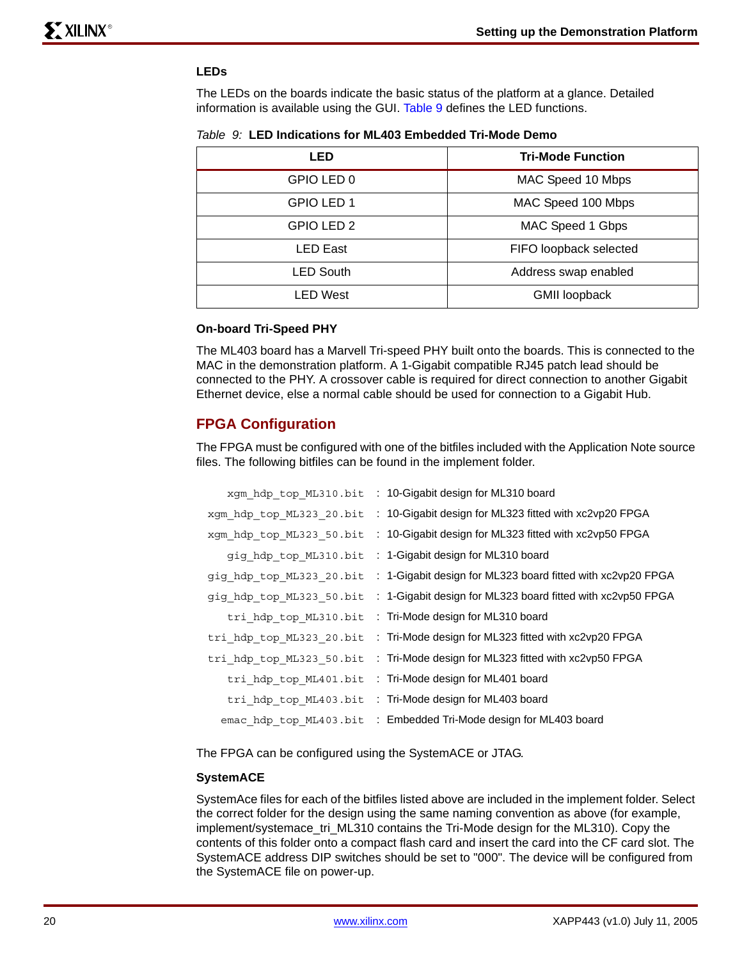### **LEDs**

The LEDs on the boards indicate the basic status of the platform at a glance. Detailed information is available using the GUI. [Table 9](#page-19-1) defines the LED functions.

<span id="page-19-1"></span>

|  | <i>Table 9:</i> LED Indications for ML403 Embedded Tri-Mode Demo |  |  |
|--|------------------------------------------------------------------|--|--|
|--|------------------------------------------------------------------|--|--|

| LED              | <b>Tri-Mode Function</b> |
|------------------|--------------------------|
| GPIO LED 0       | MAC Speed 10 Mbps        |
| GPIO LED 1       | MAC Speed 100 Mbps       |
| GPIO LED 2       | MAC Speed 1 Gbps         |
| <b>LED East</b>  | FIFO loopback selected   |
| <b>LED South</b> | Address swap enabled     |
| <b>LED West</b>  | <b>GMII loopback</b>     |

#### **On-board Tri-Speed PHY**

The ML403 board has a Marvell Tri-speed PHY built onto the boards. This is connected to the MAC in the demonstration platform. A 1-Gigabit compatible RJ45 patch lead should be connected to the PHY. A crossover cable is required for direct connection to another Gigabit Ethernet device, else a normal cable should be used for connection to a Gigabit Hub.

### **FPGA Configuration**

The FPGA must be configured with one of the bitfiles included with the Application Note source files. The following bitfiles can be found in the implement folder.

| xgm_hdp_top_ML310.bit    | : 10-Gigabit design for ML310 board                         |
|--------------------------|-------------------------------------------------------------|
| xgm hdp top ML323 20.bit | : 10-Gigabit design for ML323 fitted with xc2vp20 FPGA      |
| xgm_hdp_top_ML323_50.bit | : 10-Gigabit design for ML323 fitted with xc2vp50 FPGA      |
| gig hdp top ML310.bit    | : 1-Gigabit design for ML310 board                          |
| gig hdp top ML323 20.bit | : 1-Gigabit design for ML323 board fitted with xc2vp20 FPGA |
| gig hdp top ML323 50.bit | : 1-Gigabit design for ML323 board fitted with xc2vp50 FPGA |
| tri_hdp_top_ML310.bit    | : Tri-Mode design for ML310 board                           |
| tri hdp top ML323 20.bit | : Tri-Mode design for ML323 fitted with xc2vp20 FPGA        |
| tri hdp top ML323 50.bit | : Tri-Mode design for ML323 fitted with xc2vp50 FPGA        |
| tri_hdp_top_ML401.bit    | : Tri-Mode design for ML401 board                           |
| tri hdp top ML403.bit    | : Tri-Mode design for ML403 board                           |
| emac_hdp_top ML403.bit   | : Embedded Tri-Mode design for ML403 board                  |

The FPGA can be configured using the SystemACE or JTAG.

#### <span id="page-19-0"></span>**SystemACE**

SystemAce files for each of the bitfiles listed above are included in the implement folder. Select the correct folder for the design using the same naming convention as above (for example, implement/systemace\_tri\_ML310 contains the Tri-Mode design for the ML310). Copy the contents of this folder onto a compact flash card and insert the card into the CF card slot. The SystemACE address DIP switches should be set to "000". The device will be configured from the SystemACE file on power-up.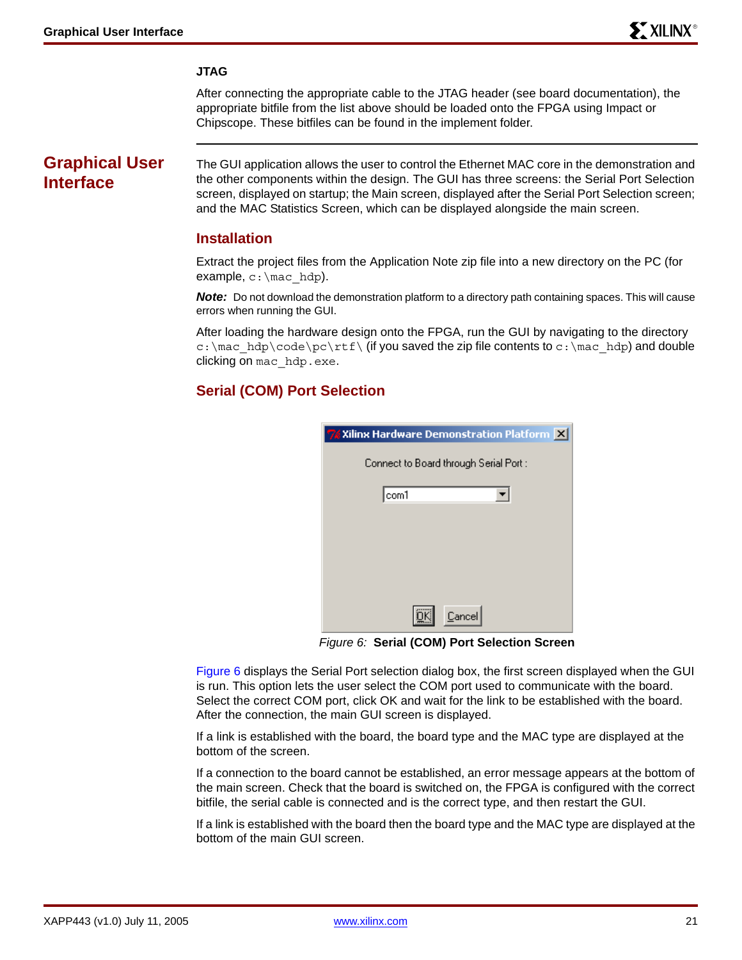### **JTAG**

After connecting the appropriate cable to the JTAG header (see board documentation), the appropriate bitfile from the list above should be loaded onto the FPGA using Impact or Chipscope. These bitfiles can be found in the implement folder.

## **Graphical User Interface**

The GUI application allows the user to control the Ethernet MAC core in the demonstration and the other components within the design. The GUI has three screens: the Serial Port Selection screen, displayed on startup; the Main screen, displayed after the Serial Port Selection screen; and the MAC Statistics Screen, which can be displayed alongside the main screen.

### **Installation**

Extract the project files from the Application Note zip file into a new directory on the PC (for example,  $c:\text{mac}$  hdp).

**Note:** Do not download the demonstration platform to a directory path containing spaces. This will cause errors when running the GUI.

After loading the hardware design onto the FPGA, run the GUI by navigating to the directory c:\mac\_hdp\code\pc\rtf\ (if you saved the zip file contents to c:\mac\_hdp) and double clicking on mac\_hdp.exe.

### **Serial (COM) Port Selection**

| 7 Xilinx Hardware Demonstration Platform X |
|--------------------------------------------|
| Connect to Board through Serial Port :     |
| com1                                       |
|                                            |
|                                            |
|                                            |
|                                            |
| Cancel                                     |

*Figure 6:* **Serial (COM) Port Selection Screen**

<span id="page-20-0"></span>[Figure 6](#page-20-0) displays the Serial Port selection dialog box, the first screen displayed when the GUI is run. This option lets the user select the COM port used to communicate with the board. Select the correct COM port, click OK and wait for the link to be established with the board. After the connection, the main GUI screen is displayed.

If a link is established with the board, the board type and the MAC type are displayed at the bottom of the screen.

If a connection to the board cannot be established, an error message appears at the bottom of the main screen. Check that the board is switched on, the FPGA is configured with the correct bitfile, the serial cable is connected and is the correct type, and then restart the GUI.

If a link is established with the board then the board type and the MAC type are displayed at the bottom of the main GUI screen.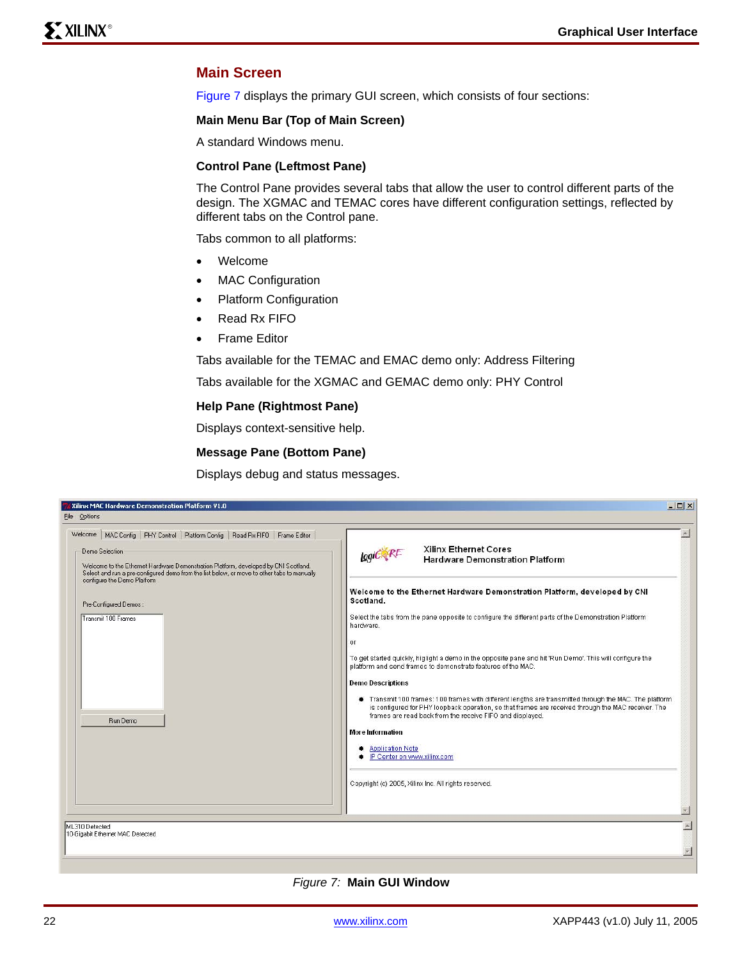### **Main Screen**

Figure 7 displays the primary GUI screen, which consists of four sections:

### **Main Menu Bar (Top of Main Screen)**

A standard Windows menu.

### **Control Pane (Leftmost Pane)**

The Control Pane provides several tabs that allow the user to control different parts of the design. The XGMAC and TEMAC cores have different configuration settings, reflected by different tabs on the Control pane.

Tabs common to all platforms:

- Welcome
- MAC Configuration
- Platform Configuration
- Read Rx FIFO
- Frame Editor

Tabs available for the TEMAC and EMAC demo only: Address Filtering

Tabs available for the XGMAC and GEMAC demo only: PHY Control

#### **Help Pane (Rightmost Pane)**

Displays context-sensitive help.

#### **Message Pane (Bottom Pane)**

Displays debug and status messages.

| Welcome   MAC Config   PHY Control   Platform Config   Read Rx FIFO   Frame Editor                                                                                                                                                  |                                                                                                                                                                                                                                         |
|-------------------------------------------------------------------------------------------------------------------------------------------------------------------------------------------------------------------------------------|-----------------------------------------------------------------------------------------------------------------------------------------------------------------------------------------------------------------------------------------|
| Demo Selection<br>Welcome to the Ethernet Hardware Demonstration Platform, developed by CNI Scotland.<br>Select and run a pre-configured demo from the list below, or move to other tabs to manually<br>configure the Demo Platform | <b>Xilinx Ethernet Cores</b><br>Logic RE<br><b>Hardware Demonstration Platform</b>                                                                                                                                                      |
| Pre-Configured Demos:                                                                                                                                                                                                               | Welcome to the Ethernet Hardware Demonstration Platform, developed by CNI<br>Scotland.                                                                                                                                                  |
| Transmit 100 Frames                                                                                                                                                                                                                 | Select the tabs from the pane opposite to configure the different parts of the Demonstration Platform<br>hardware.                                                                                                                      |
|                                                                                                                                                                                                                                     | or<br>To get started quickly, higlight a demo in the opposite pane and hit 'Run Demo'. This will configure the<br>platform and send frames to demonstrate features of the MAC.                                                          |
|                                                                                                                                                                                                                                     | <b>Demo Descriptions</b><br>Transmit 100 frames: 100 frames with different lengths are transmitted through the MAC. The platform<br>is configured for PHY loopback operation, so that frames are received through the MAC receiver. The |
| Run Demo                                                                                                                                                                                                                            | frames are read back from the receive FIFO and displayed.<br>More Information                                                                                                                                                           |
|                                                                                                                                                                                                                                     | Application Note<br>· IP Center on www.xilinx.com                                                                                                                                                                                       |
|                                                                                                                                                                                                                                     | Copyright (c) 2005, Xilinx Inc. All rights reserved.                                                                                                                                                                                    |
|                                                                                                                                                                                                                                     |                                                                                                                                                                                                                                         |
| ML310 Detected<br>10-Gigabit Ethernet MAC Detected                                                                                                                                                                                  |                                                                                                                                                                                                                                         |

*Figure 7:* **Main GUI Window**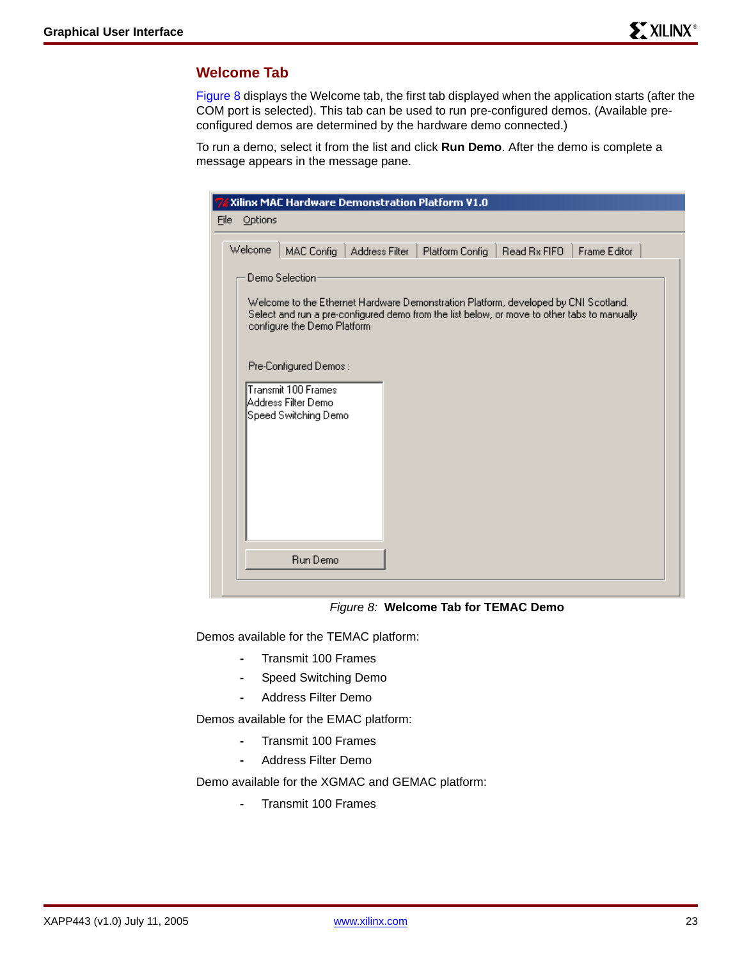### **Welcome Tab**

Figure 8 displays the Welcome tab, the first tab displayed when the application starts (after the COM port is selected). This tab can be used to run pre-configured demos. (Available preconfigured demos are determined by the hardware demo connected.)

To run a demo, select it from the list and click **Run Demo**. After the demo is complete a message appears in the message pane.

| Xilinx MAC Hardware Demonstration Platform V1.0                                                                                                                                                                                                                                                                                                                                                                                                |
|------------------------------------------------------------------------------------------------------------------------------------------------------------------------------------------------------------------------------------------------------------------------------------------------------------------------------------------------------------------------------------------------------------------------------------------------|
| Options<br>File                                                                                                                                                                                                                                                                                                                                                                                                                                |
| Welcome<br>MAC Config<br>Read Bx FIFO<br><b>Frame Editor</b><br><b>Address Filter</b><br>Platform Config<br>Demo Selection<br>Welcome to the Ethernet Hardware Demonstration Platform, developed by CNI Scotland.<br>Select and run a pre-configured demo from the list below, or move to other tabs to manually<br>configure the Demo Platform<br>Pre-Configured Demos:<br>Transmit 100 Frames<br>Address Filter Demo<br>Speed Switching Demo |
| <b>Run Demo</b>                                                                                                                                                                                                                                                                                                                                                                                                                                |
|                                                                                                                                                                                                                                                                                                                                                                                                                                                |

*Figure 8:* **Welcome Tab for TEMAC Demo**

Demos available for the TEMAC platform:

- **-** Transmit 100 Frames
- **-** Speed Switching Demo
- **-** Address Filter Demo

Demos available for the EMAC platform:

- **-** Transmit 100 Frames
- **-** Address Filter Demo

Demo available for the XGMAC and GEMAC platform:

**-** Transmit 100 Frames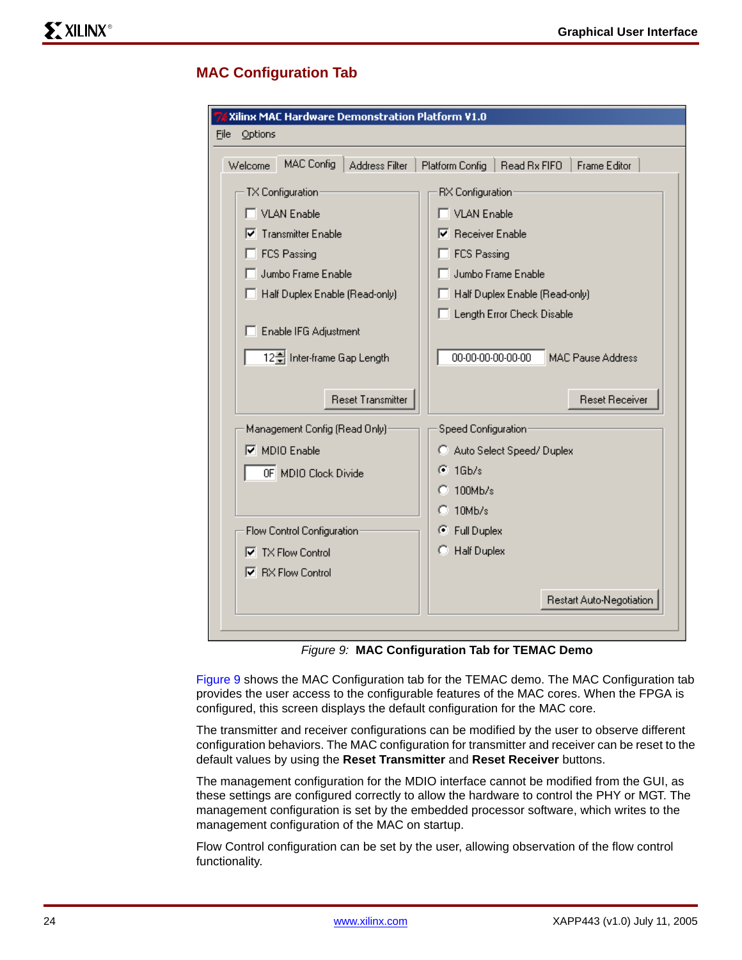### **MAC Configuration Tab**

| Xilinx MAC Hardware Demonstration Platform V1.0       |                                                        |  |  |  |
|-------------------------------------------------------|--------------------------------------------------------|--|--|--|
| Eile<br>Options                                       |                                                        |  |  |  |
| <b>MAC Config</b><br><b>Address Filter</b><br>Welcome | Platform Config<br>Read Rx FIFO<br><b>Frame Editor</b> |  |  |  |
| TX Configuration:                                     | RX Configuration                                       |  |  |  |
| <b>VLAN Enable</b>                                    | <b>VLAN Enable</b>                                     |  |  |  |
| <b>Transmitter Enable</b><br>⊽                        | <b>Receiver Enable</b><br>M                            |  |  |  |
| FCS Passing                                           | FCS Passing                                            |  |  |  |
| Jumbo Frame Enable                                    | Jumbo Frame Enable                                     |  |  |  |
| Half Duplex Enable (Read-only)                        | Half Duplex Enable (Read-only)                         |  |  |  |
|                                                       | Length Error Check Disable                             |  |  |  |
| Enable IFG Adjustment                                 |                                                        |  |  |  |
| 12월 Inter-frame Gap Length                            | 00-00-00-00-00-00<br><b>MAC Pause Address</b>          |  |  |  |
|                                                       |                                                        |  |  |  |
| <b>Reset Transmitter</b>                              | <b>Reset Receiver</b>                                  |  |  |  |
| Management Config (Read Only):                        | Speed Configuration:                                   |  |  |  |
| $\nabla$ MDIO Enable                                  | C Auto Select Speed/Duplex                             |  |  |  |
| OF MDIO Clock Divide                                  | $16b$ /s<br>G                                          |  |  |  |
|                                                       | 100Mb/s                                                |  |  |  |
|                                                       | $10$ M $b/s$                                           |  |  |  |
| Flow Control Configuration                            | C Full Duplex                                          |  |  |  |
| $\nabla$ TX Flow Control                              | <b>Half Duplex</b><br>о                                |  |  |  |
| <b>▽</b> RX Flow Control                              |                                                        |  |  |  |
|                                                       | Restart Auto-Negotiation                               |  |  |  |

*Figure 9:* **MAC Configuration Tab for TEMAC Demo**

<span id="page-23-0"></span>[Figure 9](#page-23-0) shows the MAC Configuration tab for the TEMAC demo. The MAC Configuration tab provides the user access to the configurable features of the MAC cores. When the FPGA is configured, this screen displays the default configuration for the MAC core.

The transmitter and receiver configurations can be modified by the user to observe different configuration behaviors. The MAC configuration for transmitter and receiver can be reset to the default values by using the **Reset Transmitter** and **Reset Receiver** buttons.

The management configuration for the MDIO interface cannot be modified from the GUI, as these settings are configured correctly to allow the hardware to control the PHY or MGT. The management configuration is set by the embedded processor software, which writes to the management configuration of the MAC on startup.

Flow Control configuration can be set by the user, allowing observation of the flow control functionality.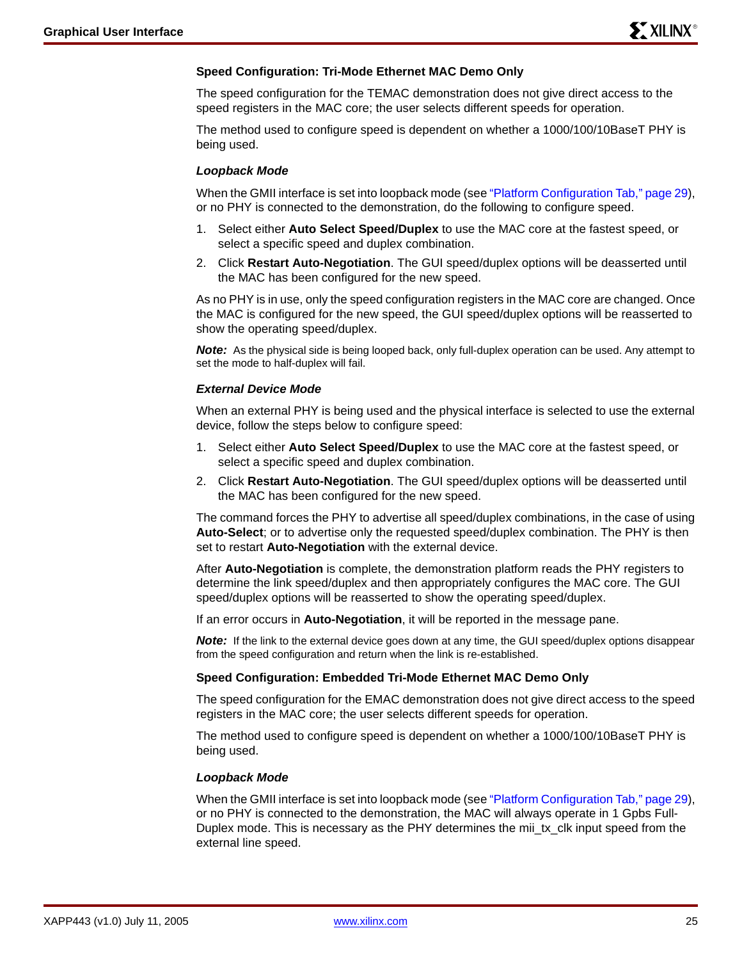### **Speed Configuration: Tri-Mode Ethernet MAC Demo Only**

The speed configuration for the TEMAC demonstration does not give direct access to the speed registers in the MAC core; the user selects different speeds for operation.

The method used to configure speed is dependent on whether a 1000/100/10BaseT PHY is being used.

#### *Loopback Mode*

When the GMII interface is set into loopback mode (see ["Platform Configuration Tab," page 29\)](#page-28-0), or no PHY is connected to the demonstration, do the following to configure speed.

- 1. Select either **Auto Select Speed/Duplex** to use the MAC core at the fastest speed, or select a specific speed and duplex combination.
- 2. Click **Restart Auto-Negotiation**. The GUI speed/duplex options will be deasserted until the MAC has been configured for the new speed.

As no PHY is in use, only the speed configuration registers in the MAC core are changed. Once the MAC is configured for the new speed, the GUI speed/duplex options will be reasserted to show the operating speed/duplex.

**Note:** As the physical side is being looped back, only full-duplex operation can be used. Any attempt to set the mode to half-duplex will fail.

#### *External Device Mode*

When an external PHY is being used and the physical interface is selected to use the external device, follow the steps below to configure speed:

- 1. Select either **Auto Select Speed/Duplex** to use the MAC core at the fastest speed, or select a specific speed and duplex combination.
- 2. Click **Restart Auto-Negotiation**. The GUI speed/duplex options will be deasserted until the MAC has been configured for the new speed.

The command forces the PHY to advertise all speed/duplex combinations, in the case of using **Auto-Select**; or to advertise only the requested speed/duplex combination. The PHY is then set to restart **Auto-Negotiation** with the external device.

After **Auto-Negotiation** is complete, the demonstration platform reads the PHY registers to determine the link speed/duplex and then appropriately configures the MAC core. The GUI speed/duplex options will be reasserted to show the operating speed/duplex.

If an error occurs in **Auto-Negotiation**, it will be reported in the message pane.

**Note:** If the link to the external device goes down at any time, the GUI speed/duplex options disappear from the speed configuration and return when the link is re-established.

### **Speed Configuration: Embedded Tri-Mode Ethernet MAC Demo Only**

The speed configuration for the EMAC demonstration does not give direct access to the speed registers in the MAC core; the user selects different speeds for operation.

The method used to configure speed is dependent on whether a 1000/100/10BaseT PHY is being used.

#### *Loopback Mode*

When the GMII interface is set into loopback mode (see ["Platform Configuration Tab," page 29\)](#page-28-0), or no PHY is connected to the demonstration, the MAC will always operate in 1 Gpbs Full-Duplex mode. This is necessary as the PHY determines the mii\_tx\_clk input speed from the external line speed.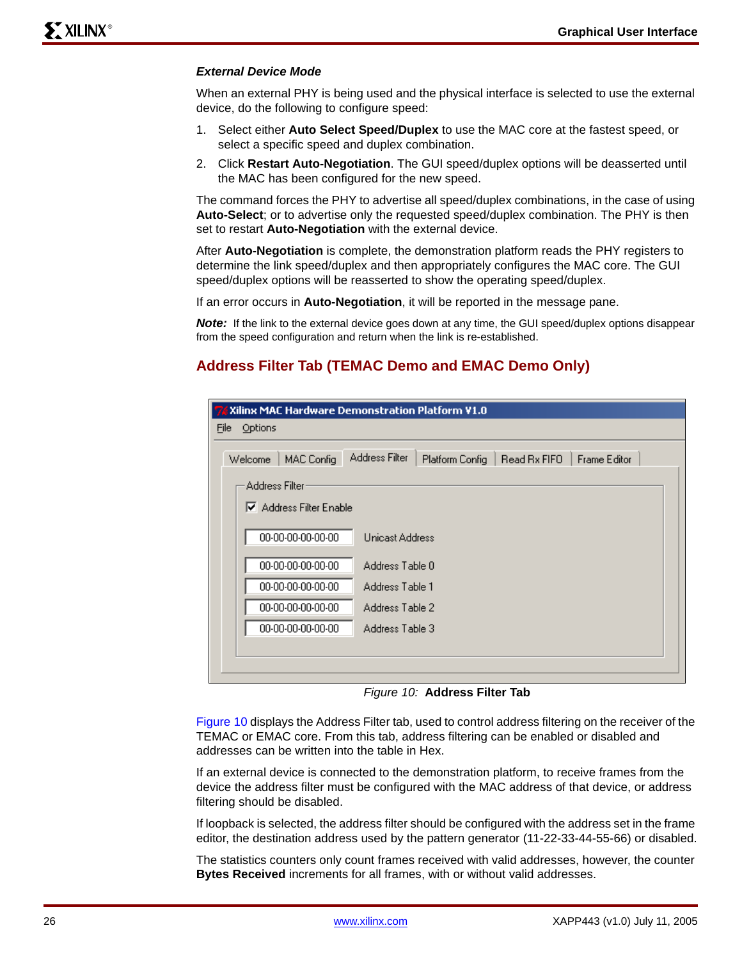### *External Device Mode*

When an external PHY is being used and the physical interface is selected to use the external device, do the following to configure speed:

- 1. Select either **Auto Select Speed/Duplex** to use the MAC core at the fastest speed, or select a specific speed and duplex combination.
- 2. Click **Restart Auto-Negotiation**. The GUI speed/duplex options will be deasserted until the MAC has been configured for the new speed.

The command forces the PHY to advertise all speed/duplex combinations, in the case of using **Auto-Select**; or to advertise only the requested speed/duplex combination. The PHY is then set to restart **Auto-Negotiation** with the external device.

After **Auto-Negotiation** is complete, the demonstration platform reads the PHY registers to determine the link speed/duplex and then appropriately configures the MAC core. The GUI speed/duplex options will be reasserted to show the operating speed/duplex.

If an error occurs in **Auto-Negotiation**, it will be reported in the message pane.

*Note:* If the link to the external device goes down at any time, the GUI speed/duplex options disappear from the speed configuration and return when the link is re-established.

### **Address Filter Tab (TEMAC Demo and EMAC Demo Only)**

|                       | 7% Xilinx MAC Hardware Demonstration Platform V1.0                       |
|-----------------------|--------------------------------------------------------------------------|
| Options<br>File       |                                                                          |
| Welcome<br>MAC Config | Address Filter<br>Read Rx FIFO<br><b>Frame Editor</b><br>Platform Config |
| Address Filter        |                                                                          |
| Address Filter Enable |                                                                          |
| 00-00-00-00-00-00     | <b>Unicast Address</b>                                                   |
| 00-00-00-00-00-00     | Address Table 0                                                          |
| 00-00-00-00-00-00     | Address Table 1                                                          |
| 00-00-00-00-00-00     | Address Table 2                                                          |
| 00-00-00-00-00-00     | Address Table 3                                                          |
|                       |                                                                          |
|                       |                                                                          |

*Figure 10:* **Address Filter Tab**

<span id="page-25-0"></span>[Figure 10](#page-25-0) displays the Address Filter tab, used to control address filtering on the receiver of the TEMAC or EMAC core. From this tab, address filtering can be enabled or disabled and addresses can be written into the table in Hex.

If an external device is connected to the demonstration platform, to receive frames from the device the address filter must be configured with the MAC address of that device, or address filtering should be disabled.

If loopback is selected, the address filter should be configured with the address set in the frame editor, the destination address used by the pattern generator (11-22-33-44-55-66) or disabled.

The statistics counters only count frames received with valid addresses, however, the counter **Bytes Received** increments for all frames, with or without valid addresses.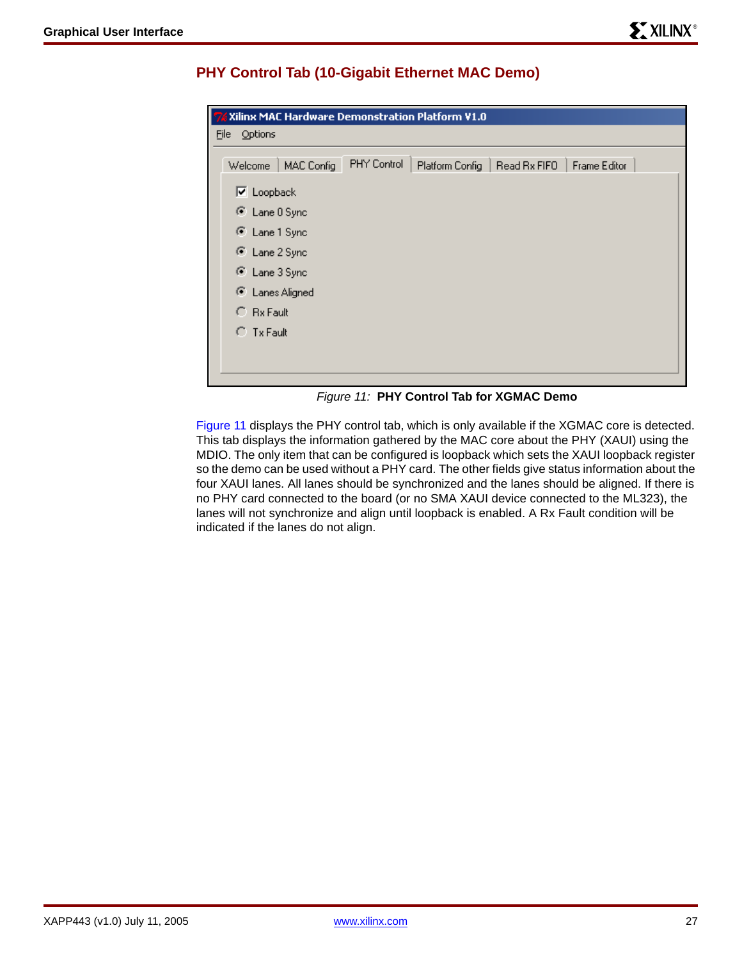| Xilinx MAC Hardware Demonstration Platform V1.0 |             |                                |                     |
|-------------------------------------------------|-------------|--------------------------------|---------------------|
| Eile<br>Options                                 |             |                                |                     |
| MAC Config<br>Welcome                           | PHY Control | Platform Config   Read Rx FIFO | <b>Frame Editor</b> |
| $\nabla$ Loopback                               |             |                                |                     |
| C Lane O Sync                                   |             |                                |                     |
| C Lane 1 Sync                                   |             |                                |                     |
| C Lane 2 Sync                                   |             |                                |                     |
| C Lane 3 Sync                                   |             |                                |                     |
| C Lanes Aligned                                 |             |                                |                     |
| $C$ Rx Fault                                    |             |                                |                     |
| $\cap$ Tx Fault                                 |             |                                |                     |
|                                                 |             |                                |                     |
|                                                 |             |                                |                     |

## **PHY Control Tab (10-Gigabit Ethernet MAC Demo)**

*Figure 11:* **PHY Control Tab for XGMAC Demo**

<span id="page-26-0"></span>[Figure 11](#page-26-0) displays the PHY control tab, which is only available if the XGMAC core is detected. This tab displays the information gathered by the MAC core about the PHY (XAUI) using the MDIO. The only item that can be configured is loopback which sets the XAUI loopback register so the demo can be used without a PHY card. The other fields give status information about the four XAUI lanes. All lanes should be synchronized and the lanes should be aligned. If there is no PHY card connected to the board (or no SMA XAUI device connected to the ML323), the lanes will not synchronize and align until loopback is enabled. A Rx Fault condition will be indicated if the lanes do not align.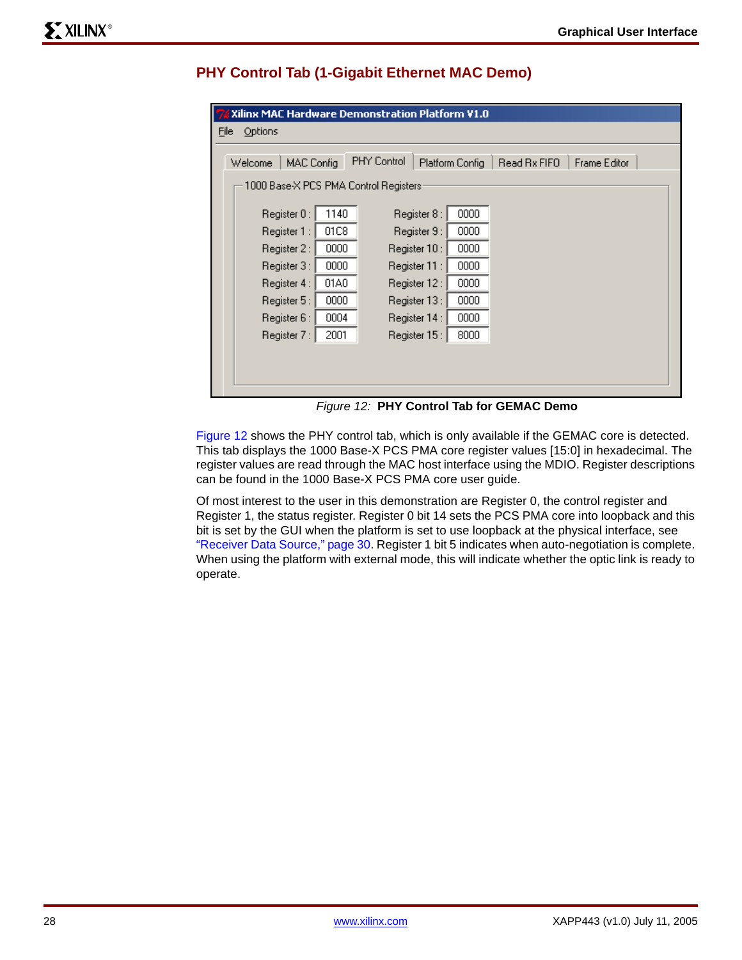# **PHY Control Tab (1-Gigabit Ethernet MAC Demo)**

| 76 Xilinx MAC Hardware Demonstration Platform V1.0 |      |               |                 |              |              |  |
|----------------------------------------------------|------|---------------|-----------------|--------------|--------------|--|
| File<br><b>Options</b>                             |      |               |                 |              |              |  |
| <b>MAC Config</b><br>Welcome                       |      | PHY Control   | Platform Config | Read Rx FIFO | Frame Editor |  |
| 1000 Base-X PCS PMA Control Registers:             |      |               |                 |              |              |  |
| Register 0:                                        | 1140 | Register 8:   | 0000            |              |              |  |
| Register 1 :                                       | 01C8 | Register 9 :  | 0000            |              |              |  |
| Register 2 :                                       | 0000 | Register 10:  | 0000            |              |              |  |
| Register 3 :                                       | 0000 | Register 11 : | 0000            |              |              |  |
| Register 4 :                                       | 01A0 | Register 12 : | 0000            |              |              |  |
| Register 5 :                                       | 0000 | Register 13:  | 0000            |              |              |  |
| Register 6 :                                       | 0004 | Register 14 : | 0000            |              |              |  |
| Register 7 :                                       | 2001 | Register 15 : | 8000            |              |              |  |
|                                                    |      |               |                 |              |              |  |
|                                                    |      |               |                 |              |              |  |
|                                                    |      |               |                 |              |              |  |

*Figure 12:* **PHY Control Tab for GEMAC Demo**

<span id="page-27-0"></span>[Figure 12](#page-27-0) shows the PHY control tab, which is only available if the GEMAC core is detected. This tab displays the 1000 Base-X PCS PMA core register values [15:0] in hexadecimal. The register values are read through the MAC host interface using the MDIO. Register descriptions can be found in the 1000 Base-X PCS PMA core user guide.

Of most interest to the user in this demonstration are Register 0, the control register and Register 1, the status register. Register 0 bit 14 sets the PCS PMA core into loopback and this bit is set by the GUI when the platform is set to use loopback at the physical interface, see ["Receiver Data Source," page 30.](#page-29-0) Register 1 bit 5 indicates when auto-negotiation is complete. When using the platform with external mode, this will indicate whether the optic link is ready to operate.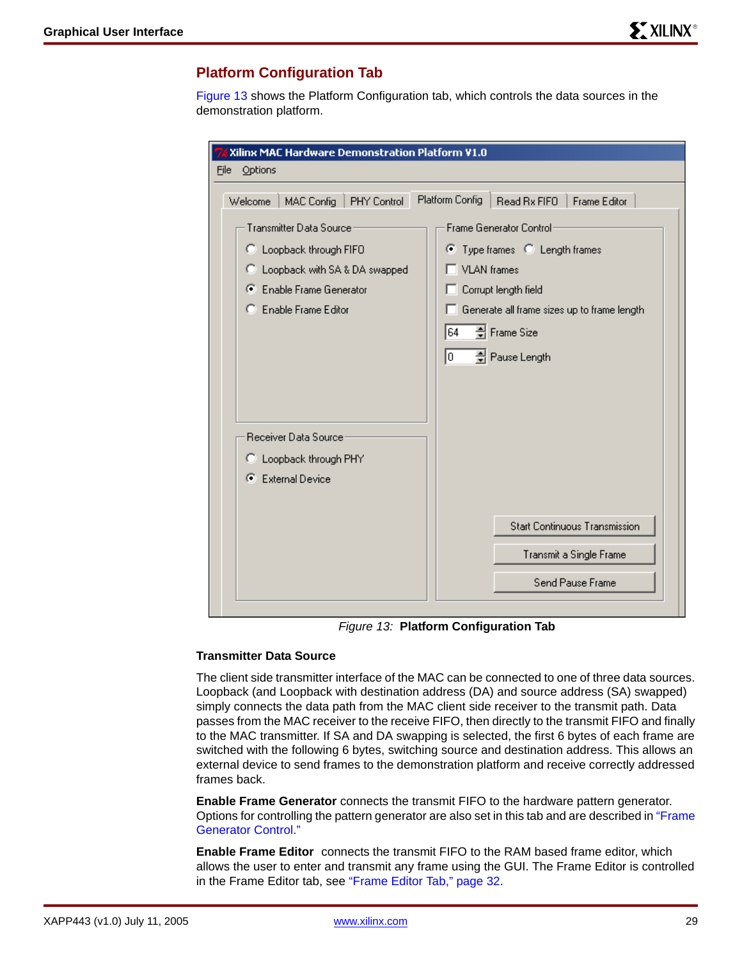### <span id="page-28-0"></span>**Platform Configuration Tab**

[Figure 13](#page-28-1) shows the Platform Configuration tab, which controls the data sources in the demonstration platform.

| Options<br>File<br>Platform Config<br>Read Rx FIFO<br><b>Frame Editor</b><br>MAC Config<br>PHY Control<br>Welcome<br><b>Transmitter Data Source</b><br>Frame Generator Control:<br>C Loopback through FIFO<br>● Type frames ● Length frames<br><b>VLAN</b> frames<br>C Loopback with SA & DA swapped<br>Enable Frame Generator<br>Corrupt length field<br>œ.<br>Enable Frame Editor<br>Generate all frame sizes up to frame length<br>64<br>축 Frame Size<br>Го<br>축 Pause Length<br>Receiver Data Source:<br>C Loopback through PHY<br><b>External Device</b><br>G.<br><b>Start Continuous Transmission</b><br>Transmit a Single Frame | Xilinx MAC Hardware Demonstration Platform V1.0 |                  |  |  |  |
|----------------------------------------------------------------------------------------------------------------------------------------------------------------------------------------------------------------------------------------------------------------------------------------------------------------------------------------------------------------------------------------------------------------------------------------------------------------------------------------------------------------------------------------------------------------------------------------------------------------------------------------|-------------------------------------------------|------------------|--|--|--|
|                                                                                                                                                                                                                                                                                                                                                                                                                                                                                                                                                                                                                                        |                                                 |                  |  |  |  |
|                                                                                                                                                                                                                                                                                                                                                                                                                                                                                                                                                                                                                                        |                                                 |                  |  |  |  |
|                                                                                                                                                                                                                                                                                                                                                                                                                                                                                                                                                                                                                                        |                                                 |                  |  |  |  |
|                                                                                                                                                                                                                                                                                                                                                                                                                                                                                                                                                                                                                                        |                                                 |                  |  |  |  |
|                                                                                                                                                                                                                                                                                                                                                                                                                                                                                                                                                                                                                                        |                                                 |                  |  |  |  |
|                                                                                                                                                                                                                                                                                                                                                                                                                                                                                                                                                                                                                                        |                                                 | Send Pause Frame |  |  |  |

*Figure 13:* **Platform Configuration Tab**

### <span id="page-28-1"></span>**Transmitter Data Source**

The client side transmitter interface of the MAC can be connected to one of three data sources. Loopback (and Loopback with destination address (DA) and source address (SA) swapped) simply connects the data path from the MAC client side receiver to the transmit path. Data passes from the MAC receiver to the receive FIFO, then directly to the transmit FIFO and finally to the MAC transmitter. If SA and DA swapping is selected, the first 6 bytes of each frame are switched with the following 6 bytes, switching source and destination address. This allows an external device to send frames to the demonstration platform and receive correctly addressed frames back.

**Enable Frame Generator** connects the transmit FIFO to the hardware pattern generator. Options for controlling the pattern generator are also set in this tab and are described in ["Frame](#page-29-1)  [Generator Control."](#page-29-1)

**Enable Frame Editor** connects the transmit FIFO to the RAM based frame editor, which allows the user to enter and transmit any frame using the GUI. The Frame Editor is controlled in the Frame Editor tab, see ["Frame Editor Tab," page 32.](#page-31-0)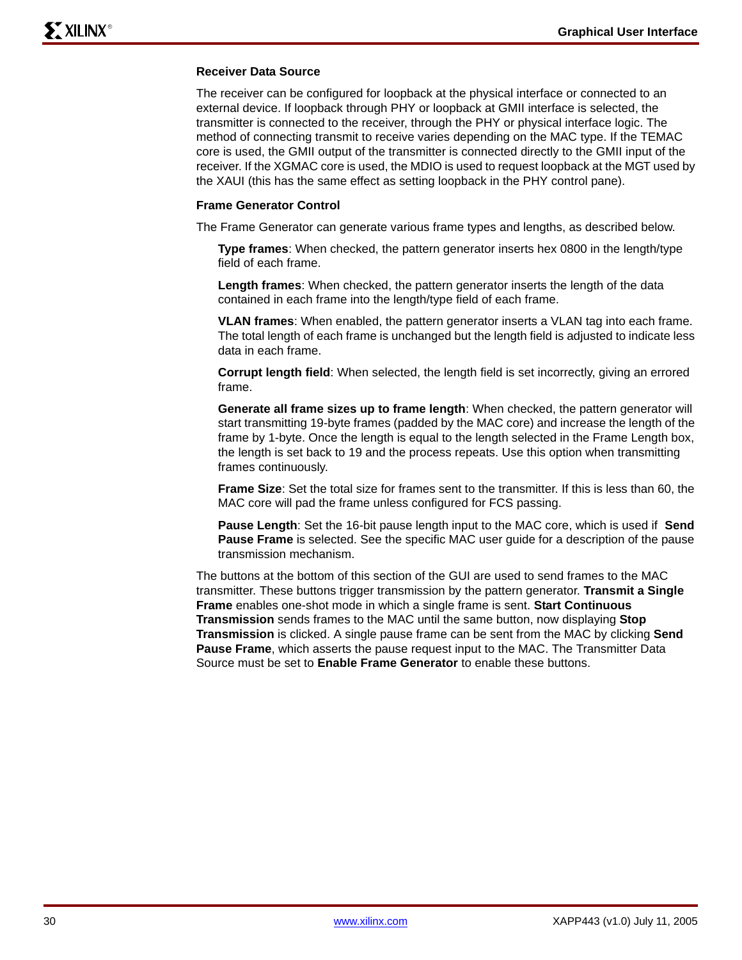### <span id="page-29-0"></span>**Receiver Data Source**

The receiver can be configured for loopback at the physical interface or connected to an external device. If loopback through PHY or loopback at GMII interface is selected, the transmitter is connected to the receiver, through the PHY or physical interface logic. The method of connecting transmit to receive varies depending on the MAC type. If the TEMAC core is used, the GMII output of the transmitter is connected directly to the GMII input of the receiver. If the XGMAC core is used, the MDIO is used to request loopback at the MGT used by the XAUI (this has the same effect as setting loopback in the PHY control pane).

#### <span id="page-29-1"></span>**Frame Generator Control**

The Frame Generator can generate various frame types and lengths, as described below.

**Type frames**: When checked, the pattern generator inserts hex 0800 in the length/type field of each frame.

**Length frames**: When checked, the pattern generator inserts the length of the data contained in each frame into the length/type field of each frame.

**VLAN frames**: When enabled, the pattern generator inserts a VLAN tag into each frame. The total length of each frame is unchanged but the length field is adjusted to indicate less data in each frame.

**Corrupt length field**: When selected, the length field is set incorrectly, giving an errored frame.

**Generate all frame sizes up to frame length**: When checked, the pattern generator will start transmitting 19-byte frames (padded by the MAC core) and increase the length of the frame by 1-byte. Once the length is equal to the length selected in the Frame Length box, the length is set back to 19 and the process repeats. Use this option when transmitting frames continuously.

**Frame Size**: Set the total size for frames sent to the transmitter. If this is less than 60, the MAC core will pad the frame unless configured for FCS passing.

**Pause Length**: Set the 16-bit pause length input to the MAC core, which is used if **Send Pause Frame** is selected. See the specific MAC user guide for a description of the pause transmission mechanism.

The buttons at the bottom of this section of the GUI are used to send frames to the MAC transmitter. These buttons trigger transmission by the pattern generator. **Transmit a Single Frame** enables one-shot mode in which a single frame is sent. **Start Continuous Transmission** sends frames to the MAC until the same button, now displaying **Stop Transmission** is clicked. A single pause frame can be sent from the MAC by clicking **Send Pause Frame**, which asserts the pause request input to the MAC. The Transmitter Data Source must be set to **Enable Frame Generator** to enable these buttons.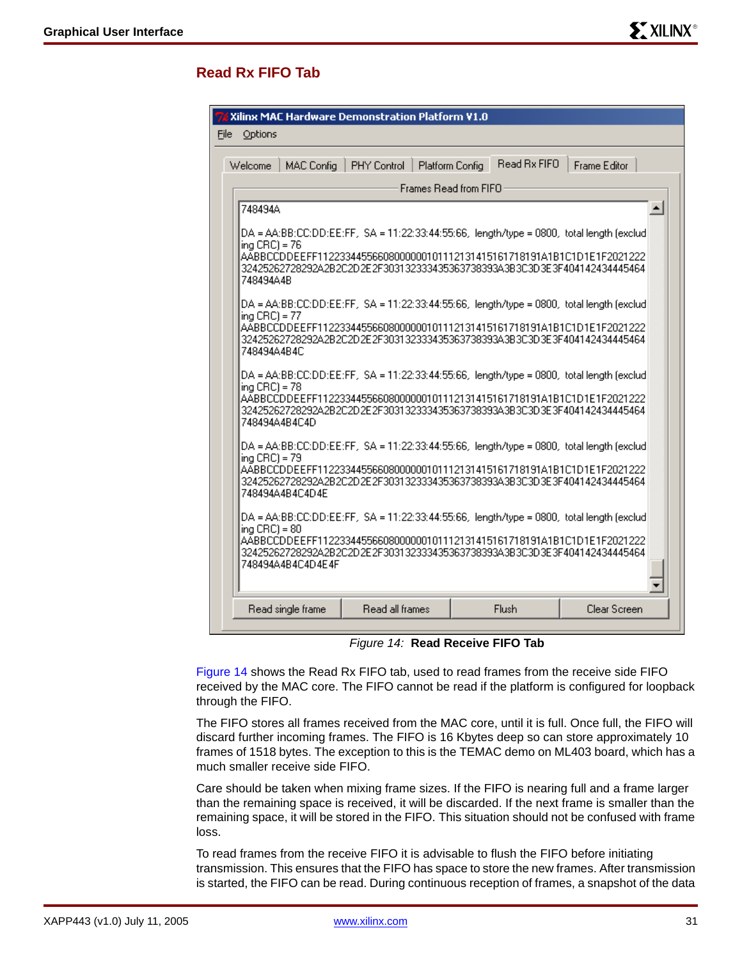## **Read Rx FIFO Tab**

| Xilinx MAC Hardware Demonstration Platform V1.0                                                                                                                                                                                                                                                |  |
|------------------------------------------------------------------------------------------------------------------------------------------------------------------------------------------------------------------------------------------------------------------------------------------------|--|
| File<br>Options                                                                                                                                                                                                                                                                                |  |
| Read Bx FIFO<br>Frame Editor<br><b>MAC Config</b><br>PHY Control<br>Platform Config<br>Welcome                                                                                                                                                                                                 |  |
| Frames Read from FIFO                                                                                                                                                                                                                                                                          |  |
| 748494A<br>٠                                                                                                                                                                                                                                                                                   |  |
| DA = AA:BB:CC:DD:EE:FF, SA = 11:22:33:44:55:66, length/type = 0800, total length (exclud)<br>ing $CRC$ = 76<br>AABBCCDDEEFF11223344556608000000101112131415161718191A1B1C1D1E1F2021222<br>32425262728292A2B2C2D2E2F303132333435363738393A3B3C3D3E3F404142434445464<br>748494A4B                |  |
| DA = AA:BB:CC:DD:EE:FF, SA = 11:22:33:44:55:66, length/type = 0800, total length (exclud)<br>lina CRC) = 77<br>AABBCCDDEEFF11223344556608000000101112131415161718191A1B1C1D1E1F2021222<br>32425262728292A2B2C2D2E2F303132333435363738393A3B3C3D3E3F404142434445464<br>748494A4B4C              |  |
| DA = AA:BB:CC:DD:EE:FF, SA = 11:22:33:44:55:66, length/type = 0800, total length (exclud)<br>$ing CRC$ ] = 78<br>AABBCCDDEEFF11223344556608000000101112131415161718191A1B1C1D1E1F2021222<br>32425262728292A2B2C2D2E2F303132333435363738393A3B3C3D3E3F404142434445464<br>748494A4B4C4D          |  |
| DA = AA:BB:CC:DD:EE:FF, SA = 11:22:33:44:55:66, length/type = 0800, total length (exclud)<br>ing $\text{CBC}$ ) = 79<br>AABBCCDDEEFF11223344556608000000101112131415161718191A1B1C1D1E1F2021222<br>32425262728292A2B2C2D2E2F303132333435363738393A3B3C3D3E3F404142434445464<br>748494A4B4C4D4E |  |
| DA = AA:BB:CC:DD:EE:FF,SA = 11:22:33:44:55:66,length/type = 0800,total length [exclud]<br>ing $CRC$ ) = 80<br>AABBCCDDEEFF11223344556608000000101112131415161718191A1B1C1D1E1F2021222<br>32425262728292A2B2C2D2E2F303132333435363738393A3B3C3D3E3F404142434445464<br>748494A4B4C4D4E4F         |  |
| Flush<br>Clear Screen<br>Read single frame<br>Read all frames                                                                                                                                                                                                                                  |  |

*Figure 14:* **Read Receive FIFO Tab**

<span id="page-30-0"></span>[Figure 14](#page-30-0) shows the Read Rx FIFO tab, used to read frames from the receive side FIFO received by the MAC core. The FIFO cannot be read if the platform is configured for loopback through the FIFO.

The FIFO stores all frames received from the MAC core, until it is full. Once full, the FIFO will discard further incoming frames. The FIFO is 16 Kbytes deep so can store approximately 10 frames of 1518 bytes. The exception to this is the TEMAC demo on ML403 board, which has a much smaller receive side FIFO.

Care should be taken when mixing frame sizes. If the FIFO is nearing full and a frame larger than the remaining space is received, it will be discarded. If the next frame is smaller than the remaining space, it will be stored in the FIFO. This situation should not be confused with frame loss.

To read frames from the receive FIFO it is advisable to flush the FIFO before initiating transmission. This ensures that the FIFO has space to store the new frames. After transmission is started, the FIFO can be read. During continuous reception of frames, a snapshot of the data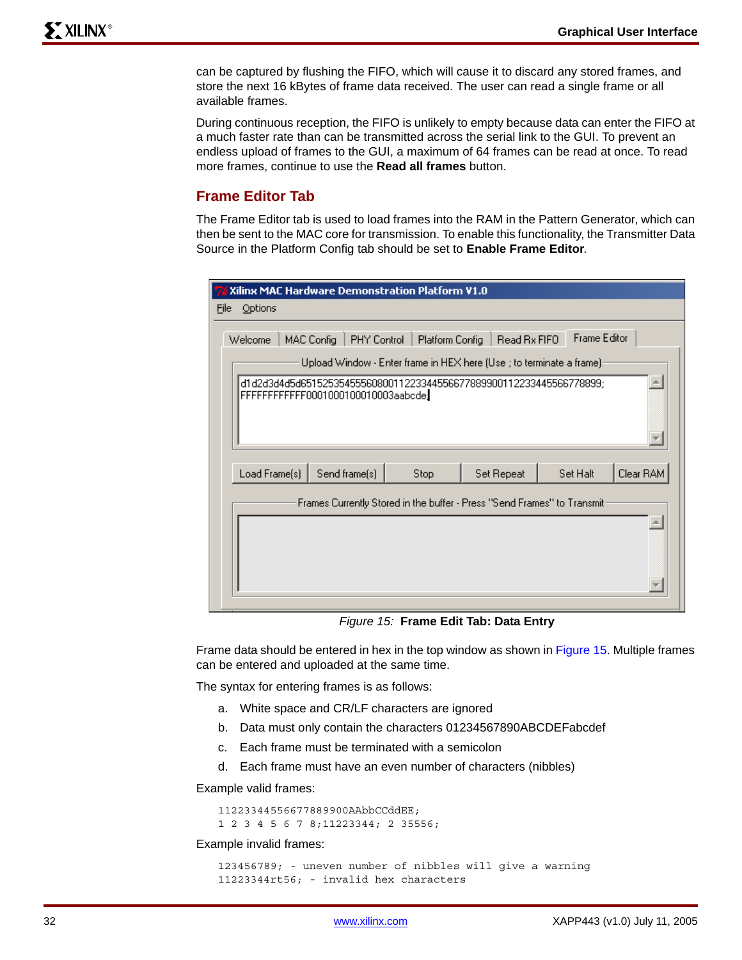can be captured by flushing the FIFO, which will cause it to discard any stored frames, and store the next 16 kBytes of frame data received. The user can read a single frame or all available frames.

During continuous reception, the FIFO is unlikely to empty because data can enter the FIFO at a much faster rate than can be transmitted across the serial link to the GUI. To prevent an endless upload of frames to the GUI, a maximum of 64 frames can be read at once. To read more frames, continue to use the **Read all frames** button.

### <span id="page-31-0"></span>**Frame Editor Tab**

The Frame Editor tab is used to load frames into the RAM in the Pattern Generator, which can then be sent to the MAC core for transmission. To enable this functionality, the Transmitter Data Source in the Platform Config tab should be set to **Enable Frame Editor**.

| Xilinx MAC Hardware Demonstration Platform V1.0 |                                                                                                                                                                                                                |                 |              |                     |           |
|-------------------------------------------------|----------------------------------------------------------------------------------------------------------------------------------------------------------------------------------------------------------------|-----------------|--------------|---------------------|-----------|
| File<br>Options                                 |                                                                                                                                                                                                                |                 |              |                     |           |
| Welcome                                         | PHY Control<br>MAC Config<br>Upload Window - Enter frame in HEX here (Use ; to terminate a frame):<br>d1d2d3d4d5d6515253545556080011223344556677889900112233445566778899;<br>FFFFFFFFFFF0001000100010003aabcde | Platform Config | Read Bx FIFO | <b>Frame Editor</b> |           |
| Load Frame(s)                                   | Send frame(s)                                                                                                                                                                                                  | Stop            | Set Repeat   | Set Halt            | Clear RAM |
|                                                 | Frames Currently Stored in the buffer - Press "Send Frames" to Transmit:                                                                                                                                       |                 |              |                     |           |

*Figure 15:* **Frame Edit Tab: Data Entry**

<span id="page-31-1"></span>Frame data should be entered in hex in the top window as shown in [Figure 15.](#page-31-1) Multiple frames can be entered and uploaded at the same time.

The syntax for entering frames is as follows:

- a. White space and CR/LF characters are ignored
- b. Data must only contain the characters 01234567890ABCDEFabcdef
- c. Each frame must be terminated with a semicolon
- d. Each frame must have an even number of characters (nibbles)

Example valid frames:

11223344556677889900AAbbCCddEE; 1 2 3 4 5 6 7 8;11223344; 2 35556;

Example invalid frames:

123456789; - uneven number of nibbles will give a warning 11223344rt56; - invalid hex characters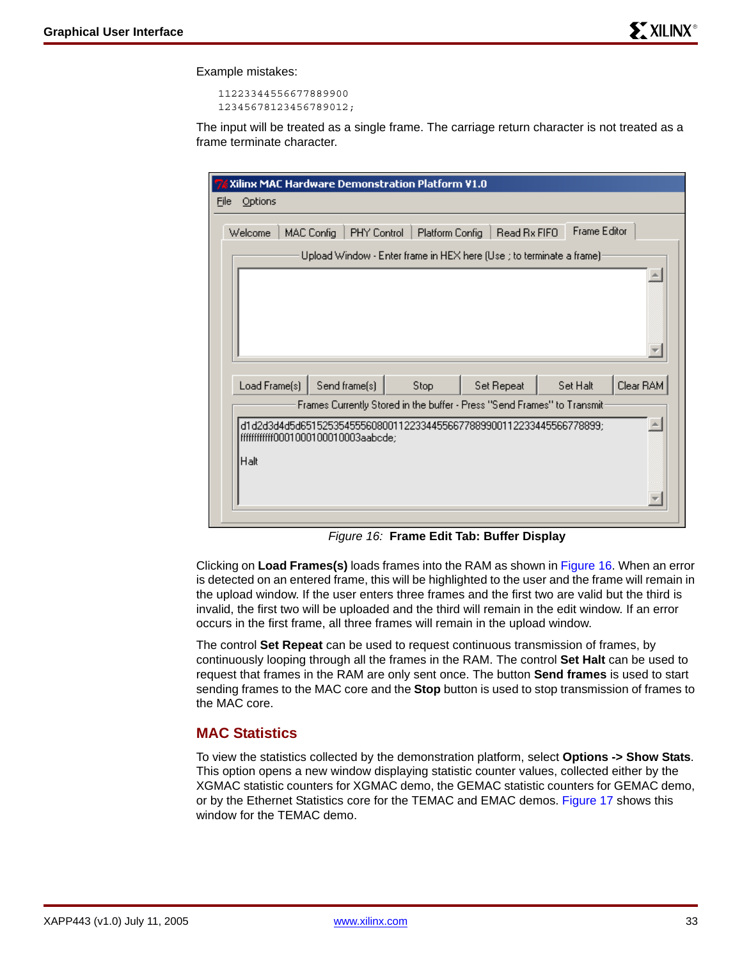Example mistakes:

11223344556677889900 12345678123456789012;

The input will be treated as a single frame. The carriage return character is not treated as a frame terminate character.

| 76 Xilinx MAC Hardware Demonstration Platform V1.0                                                                                                                      |                                                                                                              |      |            |          |           |  |
|-------------------------------------------------------------------------------------------------------------------------------------------------------------------------|--------------------------------------------------------------------------------------------------------------|------|------------|----------|-----------|--|
| Options<br>File                                                                                                                                                         |                                                                                                              |      |            |          |           |  |
| <b>Frame Editor</b><br>Read Rx FIFO<br>Welcome<br>MAC Config<br>PHY Control<br>Platform Config<br>Upload Window - Enter frame in HEX here (Use ; to terminate a frame)- |                                                                                                              |      |            |          |           |  |
|                                                                                                                                                                         |                                                                                                              |      |            |          |           |  |
| Load Frame(s)                                                                                                                                                           | Send frame(s)                                                                                                | Stop | Set Repeat | Set Halt | Clear RAM |  |
|                                                                                                                                                                         | Frames Currently Stored in the buffer - Press "Send Frames" to Transmit:                                     |      |            |          |           |  |
| Halt                                                                                                                                                                    | d1d2d3d4d5d6515253545556080011223344556677889900112233445566778899;<br> fffffffffffff0001000100010003aabcde; |      |            |          |           |  |

*Figure 16:* **Frame Edit Tab: Buffer Display**

<span id="page-32-0"></span>Clicking on **Load Frames(s)** loads frames into the RAM as shown in [Figure 16](#page-32-0). When an error is detected on an entered frame, this will be highlighted to the user and the frame will remain in the upload window. If the user enters three frames and the first two are valid but the third is invalid, the first two will be uploaded and the third will remain in the edit window. If an error occurs in the first frame, all three frames will remain in the upload window.

The control **Set Repeat** can be used to request continuous transmission of frames, by continuously looping through all the frames in the RAM. The control **Set Halt** can be used to request that frames in the RAM are only sent once. The button **Send frames** is used to start sending frames to the MAC core and the **Stop** button is used to stop transmission of frames to the MAC core.

### **MAC Statistics**

To view the statistics collected by the demonstration platform, select **Options -> Show Stats**. This option opens a new window displaying statistic counter values, collected either by the XGMAC statistic counters for XGMAC demo, the GEMAC statistic counters for GEMAC demo, or by the Ethernet Statistics core for the TEMAC and EMAC demos. [Figure 17](#page-33-0) shows this window for the TEMAC demo.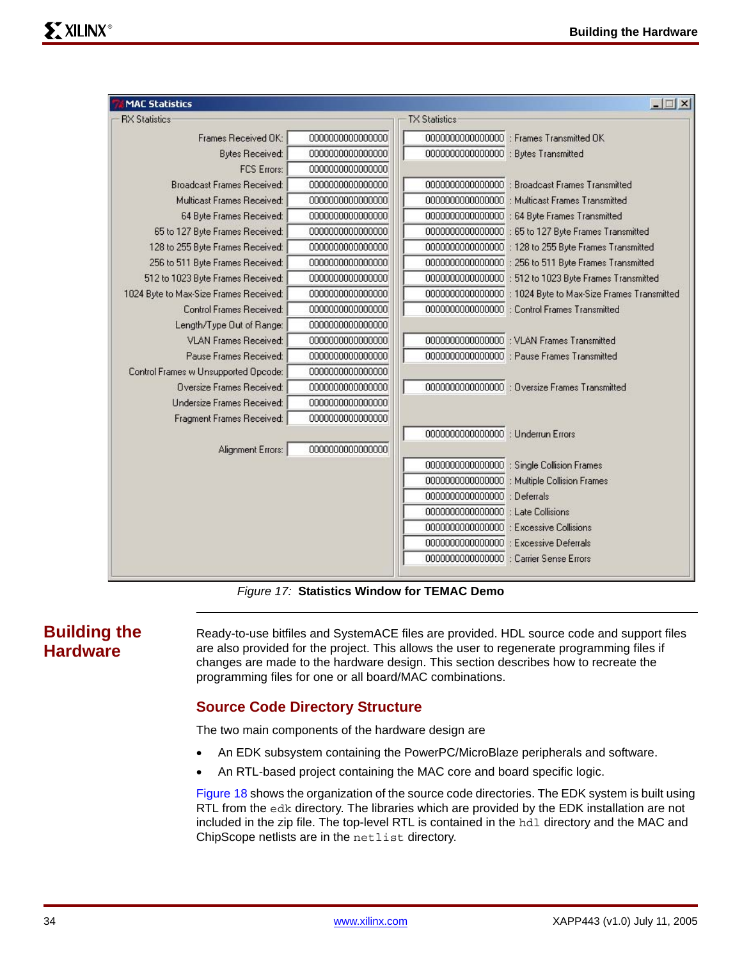| <b>RX Statistics</b>                   |                  | <b>TX Statistics</b>                    |                                                             |
|----------------------------------------|------------------|-----------------------------------------|-------------------------------------------------------------|
| Frames Received OK:                    | 0000000000000000 |                                         | 0000000000000000 : Frames Transmitted OK                    |
| <b>Bytes Received:</b>                 | 0000000000000000 | 0000000000000000 : Bytes Transmitted    |                                                             |
| <b>FCS Errors:</b>                     | 0000000000000000 |                                         |                                                             |
| <b>Broadcast Frames Received:</b>      | 0000000000000000 |                                         | 0000000000000000 : Broadcast Frames Transmitted             |
| Multicast Frames Received:             | 0000000000000000 |                                         | 00000000000000000 : Multicast Frames Transmitted            |
| 64 Byte Frames Received:               | 0000000000000000 |                                         | 0000000000000000 : 64 Byte Frames Transmitted               |
| 65 to 127 Byte Frames Received:        | 0000000000000000 |                                         | 0000000000000000 : 65 to 127 Byte Frames Transmitted        |
| 128 to 255 Byte Frames Received:       | 0000000000000000 |                                         | 0000000000000000 : 128 to 255 Byte Frames Transmitted       |
| 256 to 511 Byte Frames Received:       | 0000000000000000 |                                         | 0000000000000000 : 256 to 511 Byte Frames Transmitted       |
| 512 to 1023 Byte Frames Received:      | 0000000000000000 |                                         | 0000000000000000 : 512 to 1023 Byte Frames Transmitted      |
| 1024 Byte to Max-Size Frames Received: | 0000000000000000 |                                         | 0000000000000000 : 1024 Byte to Max-Size Frames Transmitted |
| Control Frames Received:               | 0000000000000000 |                                         | 0000000000000000 : Control Frames Transmitted               |
| Length/Type Out of Range:              | 0000000000000000 |                                         |                                                             |
| <b>VLAN Frames Received:</b>           | 0000000000000000 |                                         | 0000000000000000 : VLAN Frames Transmitted                  |
| Pause Frames Received:                 | 0000000000000000 |                                         | 0000000000000000 : Pause Frames Transmitted                 |
| Control Frames w Unsupported Opcode:   | 0000000000000000 |                                         |                                                             |
| Oversize Frames Received:              | 0000000000000000 |                                         | 0000000000000000 : Oversize Frames Transmitted              |
| Undersize Frames Received:             | 0000000000000000 |                                         |                                                             |
| Fragment Frames Received:              | 0000000000000000 |                                         |                                                             |
|                                        |                  | 0000000000000000 : Underrun Errors      |                                                             |
| Alignment Errors:                      | 0000000000000000 |                                         |                                                             |
|                                        |                  |                                         | 0000000000000000 ; Single Collision Frames                  |
|                                        |                  |                                         | 0000000000000000 : Multiple Collision Frames                |
|                                        |                  | 0000000000000000 : Deferrals            |                                                             |
|                                        |                  | 0000000000000000 : Late Collisions      |                                                             |
|                                        |                  |                                         | 0000000000000000 : Excessive Collisions                     |
|                                        |                  |                                         | 0000000000000000 : Excessive Deferrals                      |
|                                        |                  | 0000000000000000 : Carrier Sense Errors |                                                             |

*Figure 17:* **Statistics Window for TEMAC Demo**

# <span id="page-33-0"></span>**Building the Hardware**

Ready-to-use bitfiles and SystemACE files are provided. HDL source code and support files are also provided for the project. This allows the user to regenerate programming files if changes are made to the hardware design. This section describes how to recreate the programming files for one or all board/MAC combinations.

## **Source Code Directory Structure**

The two main components of the hardware design are

- An EDK subsystem containing the PowerPC/MicroBlaze peripherals and software.
- An RTL-based project containing the MAC core and board specific logic.

Figure 18 shows the organization of the source code directories. The EDK system is built using RTL from the edk directory. The libraries which are provided by the EDK installation are not included in the zip file. The top-level RTL is contained in the hdl directory and the MAC and ChipScope netlists are in the netlist directory.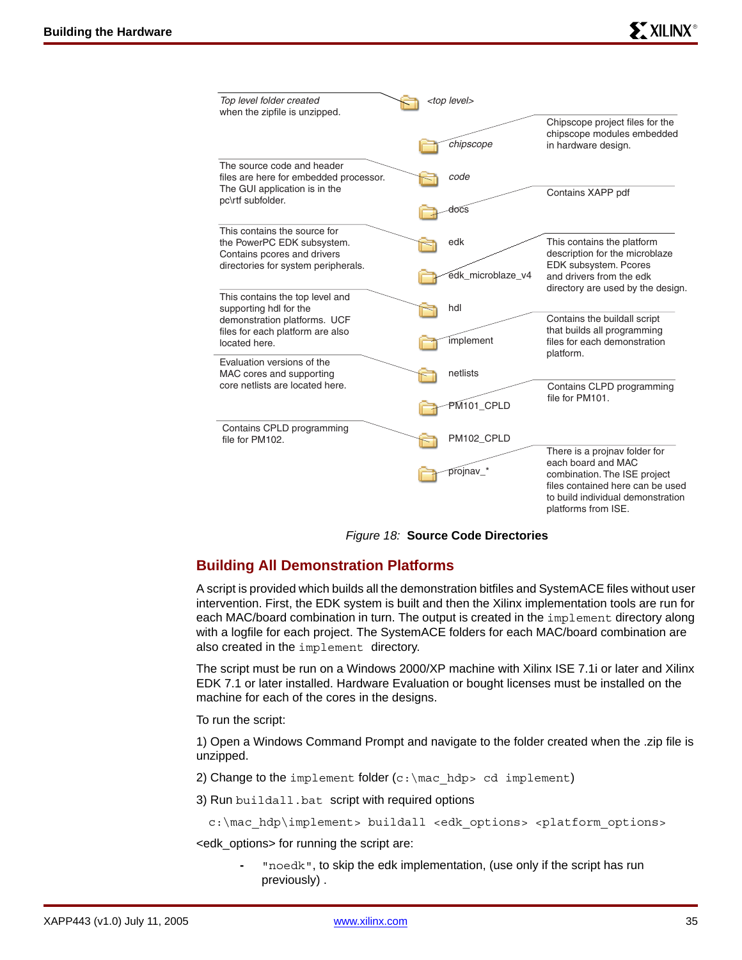| Top level folder created<br>when the zipfile is unzipped.                                                                        | <top level=""></top>     |                                                                                                                                                                                     |  |
|----------------------------------------------------------------------------------------------------------------------------------|--------------------------|-------------------------------------------------------------------------------------------------------------------------------------------------------------------------------------|--|
|                                                                                                                                  | chipscope                | Chipscope project files for the<br>chipscope modules embedded<br>in hardware design.                                                                                                |  |
| The source code and header<br>files are here for embedded processor.<br>The GUI application is in the<br>pc\rtf subfolder.       | code<br>docs             | Contains XAPP pdf                                                                                                                                                                   |  |
| This contains the source for<br>the PowerPC EDK subsystem.<br>Contains pcores and drivers<br>directories for system peripherals. | edk<br>edk_microblaze_v4 | This contains the platform<br>description for the microblaze<br>EDK subsystem. Pcores<br>and drivers from the edk                                                                   |  |
| This contains the top level and<br>supporting hdl for the<br>demonstration platforms. UCF<br>files for each platform are also    | hdl                      | directory are used by the design.<br>Contains the buildall script<br>that builds all programming                                                                                    |  |
| located here.<br>Evaluation versions of the<br>MAC cores and supporting                                                          | implement<br>netlists    | files for each demonstration<br>platform.                                                                                                                                           |  |
| core netlists are located here.                                                                                                  | PM <sub>101</sub> _CPLD  | Contains CLPD programming<br>file for PM101.                                                                                                                                        |  |
| Contains CPLD programming<br>file for PM102.                                                                                     | PM102_CPLD               |                                                                                                                                                                                     |  |
|                                                                                                                                  | projnav_*                | There is a projnav folder for<br>each board and MAC<br>combination. The ISE project<br>files contained here can be used<br>to build individual demonstration<br>platforms from ISE. |  |

*Figure 18:* **Source Code Directories**

## **Building All Demonstration Platforms**

A script is provided which builds all the demonstration bitfiles and SystemACE files without user intervention. First, the EDK system is built and then the Xilinx implementation tools are run for each MAC/board combination in turn. The output is created in the implement directory along with a logfile for each project. The SystemACE folders for each MAC/board combination are also created in the implement directory.

The script must be run on a Windows 2000/XP machine with Xilinx ISE 7.1i or later and Xilinx EDK 7.1 or later installed. Hardware Evaluation or bought licenses must be installed on the machine for each of the cores in the designs.

To run the script:

1) Open a Windows Command Prompt and navigate to the folder created when the .zip file is unzipped.

2) Change to the implement folder  $(c:\langle h\rangle > c d$  implement)

3) Run buildall.bat script with required options

```
c:\mac_hdp\implement> buildall <edk_options> <platform_options>
```
<edk\_options> for running the script are:

**-** "noedk", to skip the edk implementation, (use only if the script has run previously) .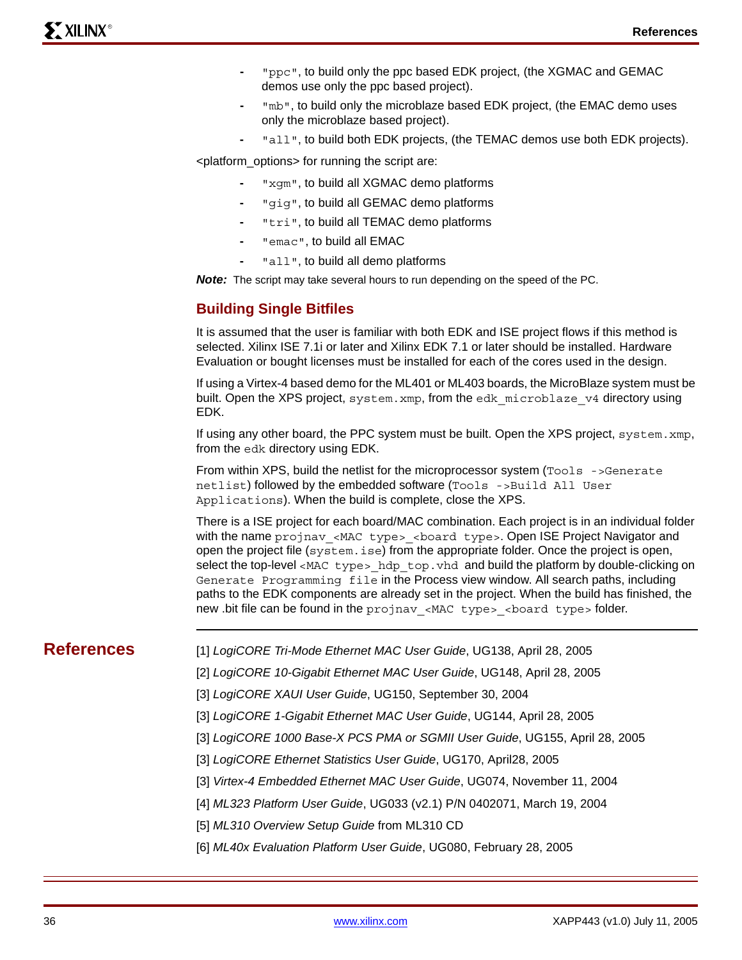- **-** "ppc", to build only the ppc based EDK project, (the XGMAC and GEMAC demos use only the ppc based project).
- **-** "mb", to build only the microblaze based EDK project, (the EMAC demo uses only the microblaze based project).
- **-** "all", to build both EDK projects, (the TEMAC demos use both EDK projects).

<platform\_options> for running the script are:

- **-** "xgm", to build all XGMAC demo platforms
- **-** "gig", to build all GEMAC demo platforms
- **-** "tri", to build all TEMAC demo platforms
- **-** "emac", to build all EMAC
- **-** "all", to build all demo platforms

*Note:* The script may take several hours to run depending on the speed of the PC.

### **Building Single Bitfiles**

It is assumed that the user is familiar with both EDK and ISE project flows if this method is selected. Xilinx ISE 7.1i or later and Xilinx EDK 7.1 or later should be installed. Hardware Evaluation or bought licenses must be installed for each of the cores used in the design.

If using a Virtex-4 based demo for the ML401 or ML403 boards, the MicroBlaze system must be built. Open the XPS project, system.xmp, from the edk microblaze v4 directory using EDK.

If using any other board, the PPC system must be built. Open the XPS project, system.xmp, from the edk directory using EDK.

From within XPS, build the netlist for the microprocessor system (Tools ->Generate netlist) followed by the embedded software (Tools ->Build All User Applications). When the build is complete, close the XPS.

There is a ISE project for each board/MAC combination. Each project is in an individual folder with the name projnav <MAC type> <board type>. Open ISE Project Navigator and open the project file (system.ise) from the appropriate folder. Once the project is open, select the top-level <MAC type> hdp\_top.vhd and build the platform by double-clicking on Generate Programming file in the Process view window. All search paths, including paths to the EDK components are already set in the project. When the build has finished, the new .bit file can be found in the projnav <MAC type> <board type> folder.

- **References** [1] *LogiCORE Tri-Mode Ethernet MAC User Guide*, UG138, April 28, 2005
	- [2] *LogiCORE 10-Gigabit Ethernet MAC User Guide*, UG148, April 28, 2005
	- [3] *LogiCORE XAUI User Guide*, UG150, September 30, 2004
	- [3] *LogiCORE 1-Gigabit Ethernet MAC User Guide*, UG144, April 28, 2005
	- [3] *LogiCORE 1000 Base-X PCS PMA or SGMII User Guide*, UG155, April 28, 2005
	- [3] *LogiCORE Ethernet Statistics User Guide*, UG170, April28, 2005
	- [3] *Virtex-4 Embedded Ethernet MAC User Guide*, UG074, November 11, 2004
	- [4] *ML323 Platform User Guide*, UG033 (v2.1) P/N 0402071, March 19, 2004
	- [5] *ML310 Overview Setup Guide* from ML310 CD
	- [6] *ML40x Evaluation Platform User Guide*, UG080, February 28, 2005